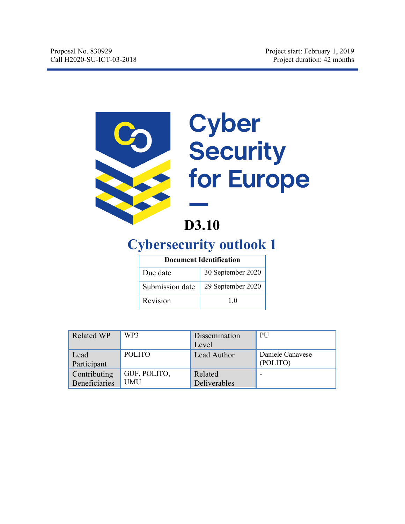

# Cyber<br>Security for Europe

# **D3.10**

# **Cybersecurity outlook 1**

| <b>Document Identification</b> |                   |  |
|--------------------------------|-------------------|--|
| Due date                       | 30 September 2020 |  |
| Submission date                | 29 September 2020 |  |
| Revision                       | 1.0               |  |

| <b>Related WP</b>    | WP3           | Dissemination | <b>PU</b>        |
|----------------------|---------------|---------------|------------------|
|                      |               | Level         |                  |
| Lead                 | <b>POLITO</b> | Lead Author   | Daniele Canavese |
| Participant          |               |               | (POLITO)         |
| Contributing         | GUF, POLITO,  | Related       |                  |
| <b>Beneficiaries</b> | <b>UMU</b>    | Deliverables  |                  |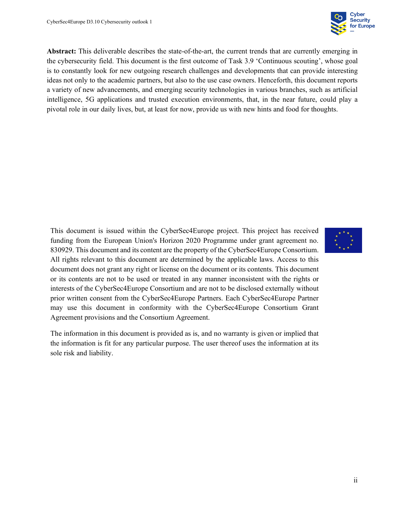

**Abstract:** This deliverable describes the state-of-the-art, the current trends that are currently emerging in the cybersecurity field. This document is the first outcome of Task 3.9 'Continuous scouting', whose goal is to constantly look for new outgoing research challenges and developments that can provide interesting ideas not only to the academic partners, but also to the use case owners. Henceforth, this document reports a variety of new advancements, and emerging security technologies in various branches, such as artificial intelligence, 5G applications and trusted execution environments, that, in the near future, could play a pivotal role in our daily lives, but, at least for now, provide us with new hints and food for thoughts.

This document is issued within the CyberSec4Europe project. This project has received funding from the European Union's Horizon 2020 Programme under grant agreement no. 830929. This document and its content are the property of the CyberSec4Europe Consortium. All rights relevant to this document are determined by the applicable laws. Access to this document does not grant any right or license on the document or its contents. This document or its contents are not to be used or treated in any manner inconsistent with the rights or interests of the CyberSec4Europe Consortium and are not to be disclosed externally without prior written consent from the CyberSec4Europe Partners. Each CyberSec4Europe Partner may use this document in conformity with the CyberSec4Europe Consortium Grant Agreement provisions and the Consortium Agreement.

The information in this document is provided as is, and no warranty is given or implied that the information is fit for any particular purpose. The user thereof uses the information at its sole risk and liability.

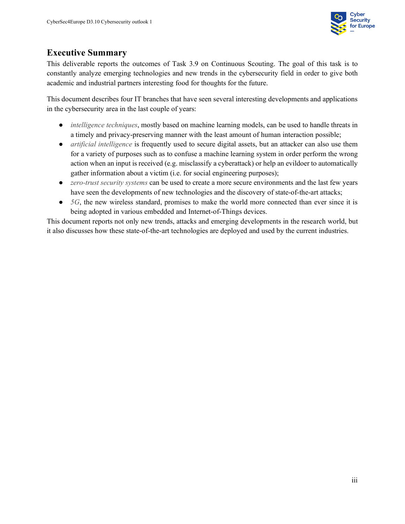

#### **Executive Summary**

This deliverable reports the outcomes of Task 3.9 on Continuous Scouting. The goal of this task is to constantly analyze emerging technologies and new trends in the cybersecurity field in order to give both academic and industrial partners interesting food for thoughts for the future.

This document describes four IT branches that have seen several interesting developments and applications in the cybersecurity area in the last couple of years:

- *intelligence techniques*, mostly based on machine learning models, can be used to handle threats in a timely and privacy-preserving manner with the least amount of human interaction possible;
- *artificial intelligence* is frequently used to secure digital assets, but an attacker can also use them for a variety of purposes such as to confuse a machine learning system in order perform the wrong action when an input is received (e.g. misclassify a cyberattack) or help an evildoer to automatically gather information about a victim (i.e. for social engineering purposes);
- *zero-trust security systems* can be used to create a more secure environments and the last few years have seen the developments of new technologies and the discovery of state-of-the-art attacks;
- *5G*, the new wireless standard, promises to make the world more connected than ever since it is being adopted in various embedded and Internet-of-Things devices.

This document reports not only new trends, attacks and emerging developments in the research world, but it also discusses how these state-of-the-art technologies are deployed and used by the current industries.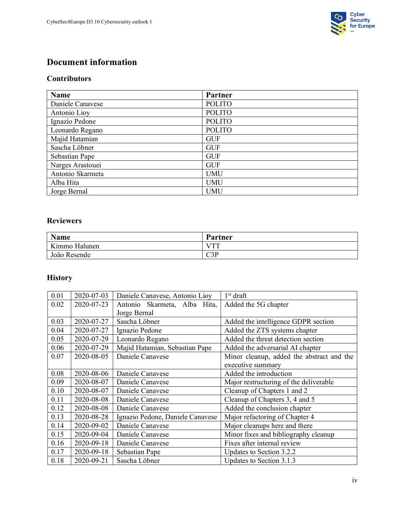

## **Document information**

#### **Contributors**

| <b>Name</b>      | Partner       |
|------------------|---------------|
| Daniele Canavese | <b>POLITO</b> |
| Antonio Lioy     | <b>POLITO</b> |
| Ignazio Pedone   | <b>POLITO</b> |
| Leonardo Regano  | <b>POLITO</b> |
| Majid Hatamian   | <b>GUF</b>    |
| Sascha Löbner    | <b>GUF</b>    |
| Sebastian Pape   | <b>GUF</b>    |
| Narges Arastouei | <b>GUF</b>    |
| Antonio Skarmeta | <b>UMU</b>    |
| Alba Hita        | <b>UMU</b>    |
| Jorge Bernal     | <b>UMU</b>    |

#### **Reviewers**

| <b>Name</b>   | Partner |
|---------------|---------|
| Kimmo Halunen | I/TTT   |
| João Resende  | C3P     |

## **History**

| 0.01 | 2020-07-03 | Daniele Canavese, Antonio Lioy   | 1 <sup>st</sup> draft                     |
|------|------------|----------------------------------|-------------------------------------------|
| 0.02 | 2020-07-23 | Antonio Skarmeta, Alba Hita,     | Added the 5G chapter                      |
|      |            | Jorge Bernal                     |                                           |
| 0.03 | 2020-07-27 | Sascha Löbner                    | Added the intelligence GDPR section       |
| 0.04 | 2020-07-27 | Ignazio Pedone                   | Added the ZTS systems chapter             |
| 0.05 | 2020-07-29 | Leonardo Regano                  | Added the threat detection section        |
| 0.06 | 2020-07-29 | Majid Hatamian, Sebastian Pape   | Added the adversarial AI chapter          |
| 0.07 | 2020-08-05 | Daniele Canavese                 | Minor cleanup, added the abstract and the |
|      |            |                                  | executive summary                         |
| 0.08 | 2020-08-06 | Daniele Canavese                 | Added the introduction                    |
| 0.09 | 2020-08-07 | Daniele Canavese                 | Major restructuring of the deliverable    |
| 0.10 | 2020-08-07 | Daniele Canavese                 | Cleanup of Chapters 1 and 2               |
| 0.11 | 2020-08-08 | Daniele Canavese                 | Cleanup of Chapters 3, 4 and 5            |
| 0.12 | 2020-08-08 | Daniele Canavese                 | Added the conclusion chapter              |
| 0.13 | 2020-08-28 | Ignazio Pedone, Daniele Canavese | Major refactoring of Chapter 4            |
| 0.14 | 2020-09-02 | Daniele Canavese                 | Major cleanups here and there             |
| 0.15 | 2020-09-04 | Daniele Canavese                 | Minor fixes and bibliography cleanup      |
| 0.16 | 2020-09-18 | Daniele Canavese                 | Fixes after internal review               |
| 0.17 | 2020-09-18 | Sebastian Pape                   | Updates to Section 3.2.2                  |
| 0.18 | 2020-09-21 | Sascha Löbner                    | Updates to Section 3.1.3                  |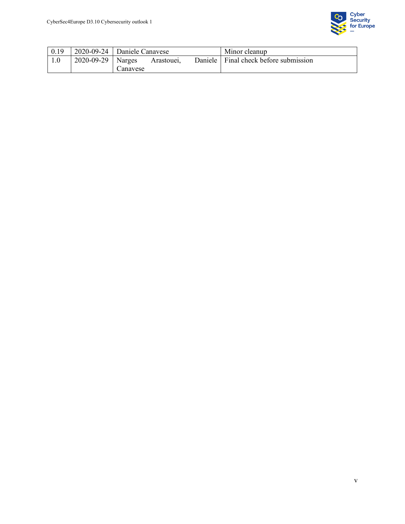

| 0.19 |                         | $\vert$ 2020-09-24 $\vert$ Daniele Canavese |                         | Minor cleanup                           |
|------|-------------------------|---------------------------------------------|-------------------------|-----------------------------------------|
|      | $2020 - 09 - 29$ Narges | Canavese                                    | Arastoue <sub>1</sub> . | Daniele   Final check before submission |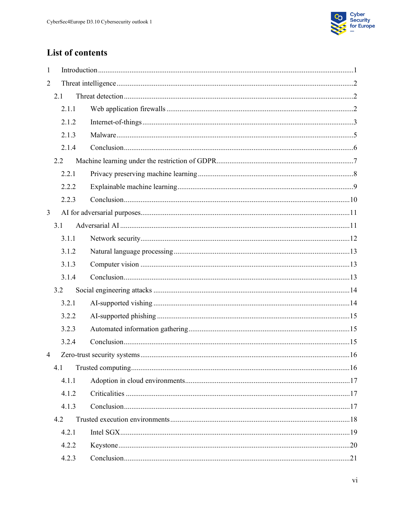

# List of contents

| $\mathbf{1}$   |       |  |
|----------------|-------|--|
| $\overline{2}$ |       |  |
|                | 2.1   |  |
|                | 2.1.1 |  |
|                | 2.1.2 |  |
|                | 2.1.3 |  |
|                | 2.1.4 |  |
|                | 2.2   |  |
|                | 2.2.1 |  |
|                | 2.2.2 |  |
|                | 2.2.3 |  |
| $\overline{3}$ |       |  |
|                | 3.1   |  |
|                | 3.1.1 |  |
|                | 3.1.2 |  |
|                | 3.1.3 |  |
|                | 3.1.4 |  |
|                | 3.2   |  |
|                | 3.2.1 |  |
|                | 3.2.2 |  |
|                | 3.2.3 |  |
|                | 3.2.4 |  |
| $\overline{4}$ |       |  |
|                | 4.1   |  |
|                | 4.1.1 |  |
|                | 4.1.2 |  |
|                | 4.1.3 |  |
|                | 4.2   |  |
|                | 4.2.1 |  |
|                | 4.2.2 |  |
|                | 4.2.3 |  |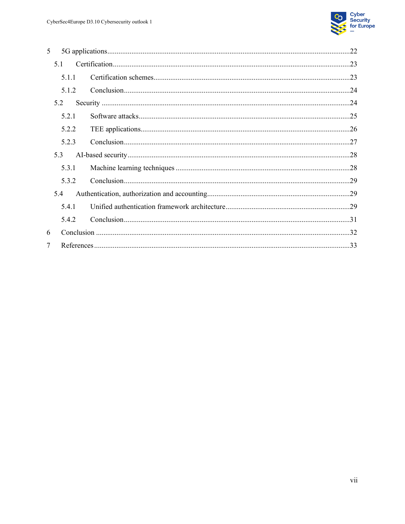

| 5              |       |  |
|----------------|-------|--|
| 5.1            |       |  |
|                | 5.1.1 |  |
|                | 5.1.2 |  |
| 5.2            |       |  |
|                | 5.2.1 |  |
|                | 5.2.2 |  |
|                | 5.2.3 |  |
| 5.3            |       |  |
|                | 5.3.1 |  |
|                | 5.3.2 |  |
| 5.4            |       |  |
|                | 5.4.1 |  |
|                | 5.4.2 |  |
| 6              |       |  |
| $\overline{7}$ |       |  |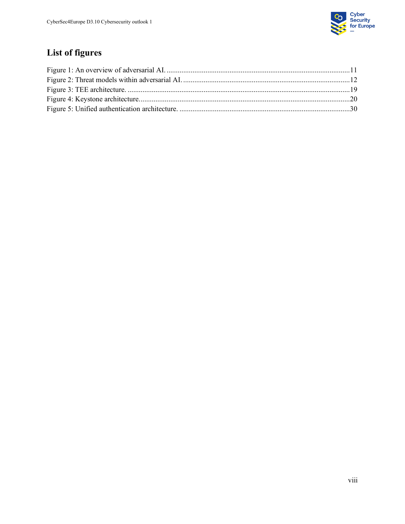

# **List of figures**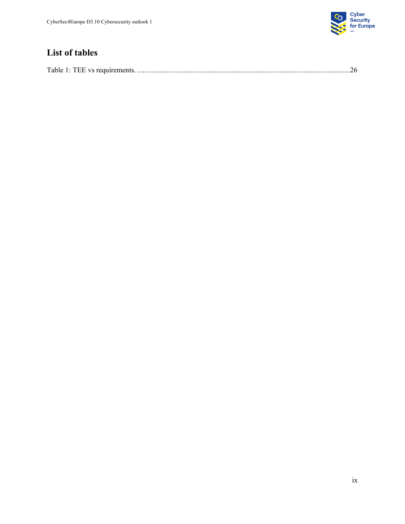

# **List of tables**

|--|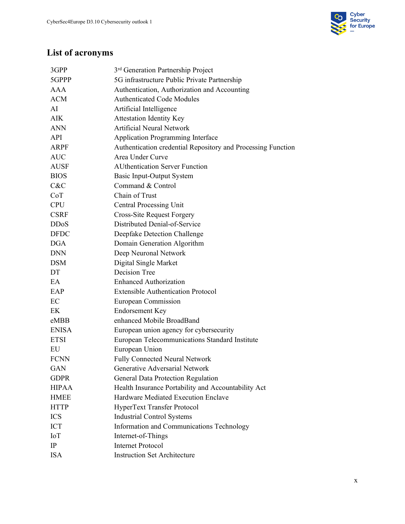

# **List of acronyms**

| 3GPP         | 3 <sup>rd</sup> Generation Partnership Project               |
|--------------|--------------------------------------------------------------|
| 5GPPP        | 5G infrastructure Public Private Partnership                 |
| AAA          | Authentication, Authorization and Accounting                 |
| <b>ACM</b>   | <b>Authenticated Code Modules</b>                            |
| AI           | Artificial Intelligence                                      |
| AIK          | <b>Attestation Identity Key</b>                              |
| <b>ANN</b>   | <b>Artificial Neural Network</b>                             |
| API          | Application Programming Interface                            |
| <b>ARPF</b>  | Authentication credential Repository and Processing Function |
| <b>AUC</b>   | Area Under Curve                                             |
| <b>AUSF</b>  | <b>AUthentication Server Function</b>                        |
| <b>BIOS</b>  | Basic Input-Output System                                    |
| C&C          | Command & Control                                            |
| CoT          | Chain of Trust                                               |
| <b>CPU</b>   | <b>Central Processing Unit</b>                               |
| <b>CSRF</b>  | <b>Cross-Site Request Forgery</b>                            |
| <b>DDoS</b>  | Distributed Denial-of-Service                                |
| <b>DFDC</b>  | Deepfake Detection Challenge                                 |
| <b>DGA</b>   | Domain Generation Algorithm                                  |
| <b>DNN</b>   | Deep Neuronal Network                                        |
| <b>DSM</b>   | Digital Single Market                                        |
| DT           | Decision Tree                                                |
| EA           | <b>Enhanced Authorization</b>                                |
| EAP          | <b>Extensible Authentication Protocol</b>                    |
| EC           | European Commission                                          |
| EK           | <b>Endorsement Key</b>                                       |
| eMBB         | enhanced Mobile BroadBand                                    |
| <b>ENISA</b> | European union agency for cybersecurity                      |
| <b>ETSI</b>  | European Telecommunications Standard Institute               |
| EU           | European Union                                               |
| <b>FCNN</b>  | Fully Connected Neural Network                               |
| <b>GAN</b>   | Generative Adversarial Network                               |
| <b>GDPR</b>  | General Data Protection Regulation                           |
| <b>HIPAA</b> | Health Insurance Portability and Accountability Act          |
| <b>HMEE</b>  | Hardware Mediated Execution Enclave                          |
| <b>HTTP</b>  | HyperText Transfer Protocol                                  |
| <b>ICS</b>   | <b>Industrial Control Systems</b>                            |
| <b>ICT</b>   | Information and Communications Technology                    |
| IoT          | Internet-of-Things                                           |
| IP           | <b>Internet Protocol</b>                                     |
| <b>ISA</b>   | <b>Instruction Set Architecture</b>                          |
|              |                                                              |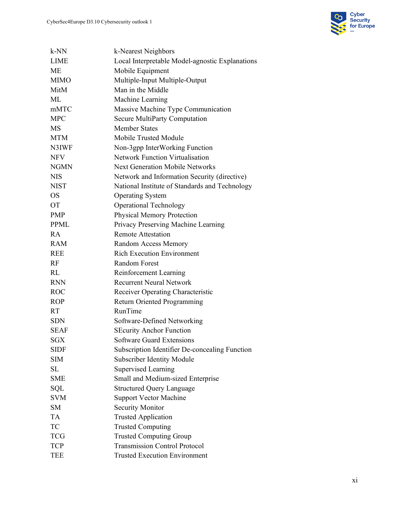

| $k-NN$      | k-Nearest Neighbors                             |
|-------------|-------------------------------------------------|
| <b>LIME</b> | Local Interpretable Model-agnostic Explanations |
| <b>ME</b>   | Mobile Equipment                                |
| <b>MIMO</b> | Multiple-Input Multiple-Output                  |
| MitM        | Man in the Middle                               |
| ML          | Machine Learning                                |
| mMTC        | Massive Machine Type Communication              |
| <b>MPC</b>  | Secure MultiParty Computation                   |
| MS          | <b>Member States</b>                            |
| <b>MTM</b>  | Mobile Trusted Module                           |
| N3IWF       | Non-3gpp InterWorking Function                  |
| <b>NFV</b>  | <b>Network Function Virtualisation</b>          |
| <b>NGMN</b> | <b>Next Generation Mobile Networks</b>          |
| <b>NIS</b>  | Network and Information Security (directive)    |
| <b>NIST</b> | National Institute of Standards and Technology  |
| <b>OS</b>   | <b>Operating System</b>                         |
| <b>OT</b>   | <b>Operational Technology</b>                   |
| <b>PMP</b>  | <b>Physical Memory Protection</b>               |
| <b>PPML</b> | Privacy Preserving Machine Learning             |
| RA          | <b>Remote Attestation</b>                       |
| <b>RAM</b>  | Random Access Memory                            |
| <b>REE</b>  | <b>Rich Execution Environment</b>               |
| <b>RF</b>   | <b>Random Forest</b>                            |
| RL          | Reinforcement Learning                          |
| <b>RNN</b>  | <b>Recurrent Neural Network</b>                 |
| <b>ROC</b>  | Receiver Operating Characteristic               |
| <b>ROP</b>  | Return Oriented Programming                     |
| RT.         | RunTime                                         |
| <b>SDN</b>  | Software-Defined Networking                     |
| <b>SEAF</b> | <b>SEcurity Anchor Function</b>                 |
| <b>SGX</b>  | <b>Software Guard Extensions</b>                |
| <b>SIDF</b> | Subscription Identifier De-concealing Function  |
| <b>SIM</b>  | <b>Subscriber Identity Module</b>               |
| <b>SL</b>   | <b>Supervised Learning</b>                      |
| <b>SME</b>  | Small and Medium-sized Enterprise               |
| SQL         | <b>Structured Query Language</b>                |
| <b>SVM</b>  | <b>Support Vector Machine</b>                   |
| <b>SM</b>   | <b>Security Monitor</b>                         |
| <b>TA</b>   | <b>Trusted Application</b>                      |
| TC          | <b>Trusted Computing</b>                        |
| <b>TCG</b>  | <b>Trusted Computing Group</b>                  |
| <b>TCP</b>  | <b>Transmission Control Protocol</b>            |
| <b>TEE</b>  | <b>Trusted Execution Environment</b>            |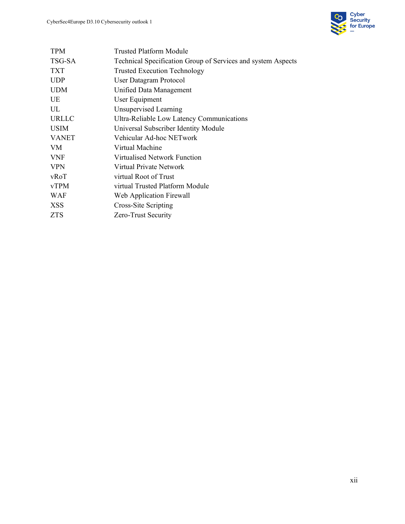

| <b>TPM</b>   | Trusted Platform Module                                      |  |  |  |
|--------------|--------------------------------------------------------------|--|--|--|
| TSG-SA       | Technical Specification Group of Services and system Aspects |  |  |  |
| <b>TXT</b>   | <b>Trusted Execution Technology</b>                          |  |  |  |
| <b>UDP</b>   | <b>User Datagram Protocol</b>                                |  |  |  |
| <b>UDM</b>   | Unified Data Management                                      |  |  |  |
| UE           | User Equipment                                               |  |  |  |
| UL           | Unsupervised Learning                                        |  |  |  |
| URLLC        | Ultra-Reliable Low Latency Communications                    |  |  |  |
| <b>USIM</b>  | Universal Subscriber Identity Module                         |  |  |  |
| <b>VANET</b> | Vehicular Ad-hoc NETwork                                     |  |  |  |
| VM.          | Virtual Machine                                              |  |  |  |
| <b>VNF</b>   | Virtualised Network Function                                 |  |  |  |
| <b>VPN</b>   | Virtual Private Network                                      |  |  |  |
| vRoT         | virtual Root of Trust                                        |  |  |  |
| vTPM         | virtual Trusted Platform Module                              |  |  |  |
| WAF          | Web Application Firewall                                     |  |  |  |
| <b>XSS</b>   | Cross-Site Scripting                                         |  |  |  |
| ZTS          | Zero-Trust Security                                          |  |  |  |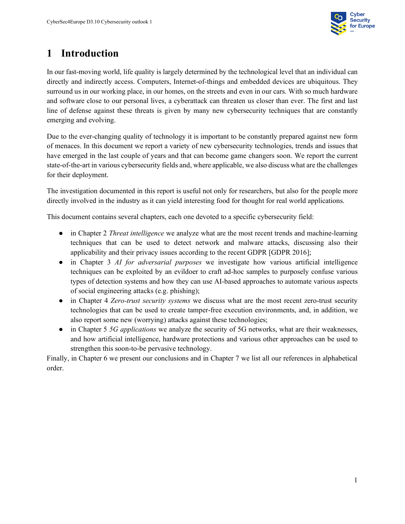

# <span id="page-12-0"></span>**1 Introduction**

In our fast-moving world, life quality is largely determined by the technological level that an individual can directly and indirectly access. Computers, Internet-of-things and embedded devices are ubiquitous. They surround us in our working place, in our homes, on the streets and even in our cars. With so much hardware and software close to our personal lives, a cyberattack can threaten us closer than ever. The first and last line of defense against these threats is given by many new cybersecurity techniques that are constantly emerging and evolving.

Due to the ever-changing quality of technology it is important to be constantly prepared against new form of menaces. In this document we report a variety of new cybersecurity technologies, trends and issues that have emerged in the last couple of years and that can become game changers soon. We report the current state-of-the-art in various cybersecurity fields and, where applicable, we also discuss what are the challenges for their deployment.

The investigation documented in this report is useful not only for researchers, but also for the people more directly involved in the industry as it can yield interesting food for thought for real world applications.

This document contains several chapters, each one devoted to a specific cybersecurity field:

- in Chapter 2 *Threat intelligence* we analyze what are the most recent trends and machine-learning techniques that can be used to detect network and malware attacks, discussing also their applicability and their privacy issues according to the recent GDPR [GDPR 2016];
- in Chapter 3 *AI for adversarial purposes* we investigate how various artificial intelligence techniques can be exploited by an evildoer to craft ad-hoc samples to purposely confuse various types of detection systems and how they can use AI-based approaches to automate various aspects of social engineering attacks (e.g. phishing);
- in Chapter 4 *Zero-trust security systems* we discuss what are the most recent zero-trust security technologies that can be used to create tamper-free execution environments, and, in addition, we also report some new (worrying) attacks against these technologies;
- in Chapter 5 *5G applications* we analyze the security of 5G networks, what are their weaknesses, and how artificial intelligence, hardware protections and various other approaches can be used to strengthen this soon-to-be pervasive technology.

Finally, in Chapter 6 we present our conclusions and in Chapter 7 we list all our references in alphabetical order.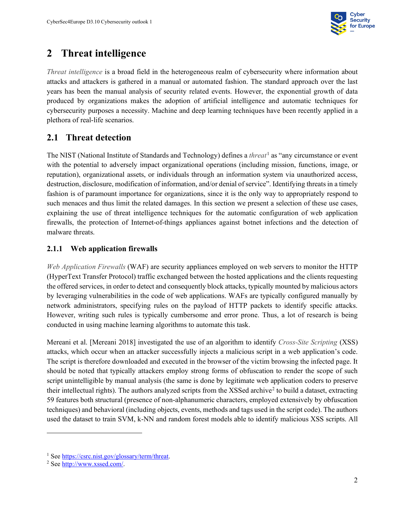

# <span id="page-13-0"></span>**2 Threat intelligence**

*Threat intelligence* is a broad field in the heterogeneous realm of cybersecurity where information about attacks and attackers is gathered in a manual or automated fashion. The standard approach over the last years has been the manual analysis of security related events. However, the exponential growth of data produced by organizations makes the adoption of artificial intelligence and automatic techniques for cybersecurity purposes a necessity. Machine and deep learning techniques have been recently applied in a plethora of real-life scenarios.

## <span id="page-13-1"></span>**2.1 Threat detection**

The NIST (National Institute of Standards and Technology) defines a *threat*[1](#page-13-3) as "any circumstance or event with the potential to adversely impact organizational operations (including mission, functions, image, or reputation), organizational assets, or individuals through an information system via unauthorized access, destruction, disclosure, modification of information, and/or denial of service". Identifying threats in a timely fashion is of paramount importance for organizations, since it is the only way to appropriately respond to such menaces and thus limit the related damages. In this section we present a selection of these use cases, explaining the use of threat intelligence techniques for the automatic configuration of web application firewalls, the protection of Internet-of-things appliances against botnet infections and the detection of malware threats.

#### <span id="page-13-2"></span>**2.1.1 Web application firewalls**

*Web Application Firewalls* (WAF) are security appliances employed on web servers to monitor the HTTP (HyperText Transfer Protocol) traffic exchanged between the hosted applications and the clients requesting the offered services, in order to detect and consequently block attacks, typically mounted by malicious actors by leveraging vulnerabilities in the code of web applications. WAFs are typically configured manually by network administrators, specifying rules on the payload of HTTP packets to identify specific attacks. However, writing such rules is typically cumbersome and error prone. Thus, a lot of research is being conducted in using machine learning algorithms to automate this task.

Mereani et al. [Mereani 2018] investigated the use of an algorithm to identify *Cross-Site Scripting* (XSS) attacks, which occur when an attacker successfully injects a malicious script in a web application's code. The script is therefore downloaded and executed in the browser of the victim browsing the infected page. It should be noted that typically attackers employ strong forms of obfuscation to render the scope of such script unintelligible by manual analysis (the same is done by legitimate web application coders to preserve their intellectual rights). The authors analyzed scripts from the XSSed archive<sup>[2](#page-13-4)</sup> to build a dataset, extracting 59 features both structural (presence of non-alphanumeric characters, employed extensively by obfuscation techniques) and behavioral (including objects, events, methods and tags used in the script code). The authors used the dataset to train SVM, k-NN and random forest models able to identify malicious XSS scripts. All

<span id="page-13-3"></span><sup>&</sup>lt;sup>1</sup> Se[e https://csrc.nist.gov/glossary/term/threat.](https://csrc.nist.gov/glossary/term/threat)

<span id="page-13-4"></span><sup>2</sup> Se[e http://www.xssed.com/.](http://www.xssed.com/)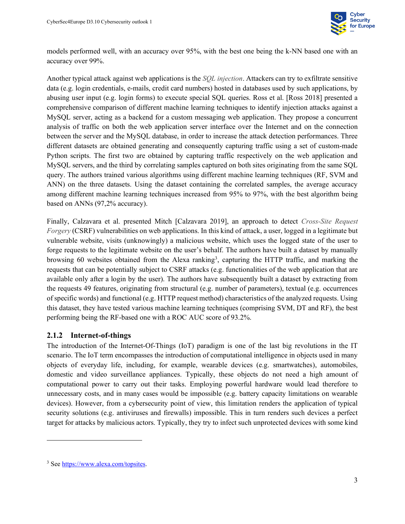

models performed well, with an accuracy over 95%, with the best one being the k-NN based one with an accuracy over 99%.

Another typical attack against web applications is the *SQL injection*. Attackers can try to exfiltrate sensitive data (e.g. login credentials, e-mails, credit card numbers) hosted in databases used by such applications, by abusing user input (e.g. login forms) to execute special SQL queries. Ross et al. [Ross 2018] presented a comprehensive comparison of different machine learning techniques to identify injection attacks against a MySQL server, acting as a backend for a custom messaging web application. They propose a concurrent analysis of traffic on both the web application server interface over the Internet and on the connection between the server and the MySQL database, in order to increase the attack detection performances. Three different datasets are obtained generating and consequently capturing traffic using a set of custom-made Python scripts. The first two are obtained by capturing traffic respectively on the web application and MySQL servers, and the third by correlating samples captured on both sites originating from the same SQL query. The authors trained various algorithms using different machine learning techniques (RF, SVM and ANN) on the three datasets. Using the dataset containing the correlated samples, the average accuracy among different machine learning techniques increased from 95% to 97%, with the best algorithm being based on ANNs (97,2% accuracy).

Finally, Calzavara et al. presented Mitch [Calzavara 2019], an approach to detect *Cross-Site Request Forgery* (CSRF) vulnerabilities on web applications. In this kind of attack, a user, logged in a legitimate but vulnerable website, visits (unknowingly) a malicious website, which uses the logged state of the user to forge requests to the legitimate website on the user's behalf. The authors have built a dataset by manually browsing 60 websites obtained from the Alexa ranking<sup>[3](#page-14-1)</sup>, capturing the HTTP traffic, and marking the requests that can be potentially subject to CSRF attacks (e.g. functionalities of the web application that are available only after a login by the user). The authors have subsequently built a dataset by extracting from the requests 49 features, originating from structural (e.g. number of parameters), textual (e.g. occurrences of specific words) and functional (e.g. HTTP request method) characteristics of the analyzed requests. Using this dataset, they have tested various machine learning techniques (comprising SVM, DT and RF), the best performing being the RF-based one with a ROC AUC score of 93.2%.

#### <span id="page-14-0"></span>**2.1.2 Internet-of-things**

The introduction of the Internet-Of-Things (IoT) paradigm is one of the last big revolutions in the IT scenario. The IoT term encompasses the introduction of computational intelligence in objects used in many objects of everyday life, including, for example, wearable devices (e.g. smartwatches), automobiles, domestic and video surveillance appliances. Typically, these objects do not need a high amount of computational power to carry out their tasks. Employing powerful hardware would lead therefore to unnecessary costs, and in many cases would be impossible (e.g. battery capacity limitations on wearable devices). However, from a cybersecurity point of view, this limitation renders the application of typical security solutions (e.g. antiviruses and firewalls) impossible. This in turn renders such devices a perfect target for attacks by malicious actors. Typically, they try to infect such unprotected devices with some kind

<span id="page-14-1"></span><sup>3</sup> Se[e https://www.alexa.com/topsites.](https://www.alexa.com/topsites)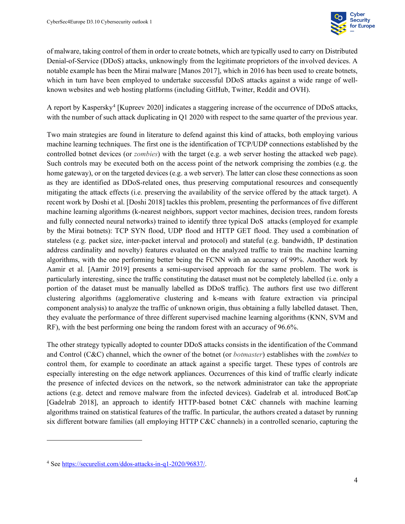

of malware, taking control of them in order to create botnets, which are typically used to carry on Distributed Denial-of-Service (DDoS) attacks, unknowingly from the legitimate proprietors of the involved devices. A notable example has been the Mirai malware [Manos 2017], which in 2016 has been used to create botnets, which in turn have been employed to undertake successful DDoS attacks against a wide range of wellknown websites and web hosting platforms (including GitHub, Twitter, Reddit and OVH).

A report by Kaspersky[4](#page-15-0) [Kupreev 2020] indicates a staggering increase of the occurrence of DDoS attacks, with the number of such attack duplicating in Q1 2020 with respect to the same quarter of the previous year.

Two main strategies are found in literature to defend against this kind of attacks, both employing various machine learning techniques. The first one is the identification of TCP/UDP connections established by the controlled botnet devices (or *zombies*) with the target (e.g. a web server hosting the attacked web page). Such controls may be executed both on the access point of the network comprising the zombies (e.g. the home gateway), or on the targeted devices (e.g. a web server). The latter can close these connections as soon as they are identified as DDoS-related ones, thus preserving computational resources and consequently mitigating the attack effects (i.e. preserving the availability of the service offered by the attack target). A recent work by Doshi et al. [Doshi 2018] tackles this problem, presenting the performances of five different machine learning algorithms (k-nearest neighbors, support vector machines, decision trees, random forests and fully connected neural networks) trained to identify three typical DoS attacks (employed for example by the Mirai botnets): TCP SYN flood, UDP flood and HTTP GET flood. They used a combination of stateless (e.g. packet size, inter-packet interval and protocol) and stateful (e.g. bandwidth, IP destination address cardinality and novelty) features evaluated on the analyzed traffic to train the machine learning algorithms, with the one performing better being the FCNN with an accuracy of 99%. Another work by Aamir et al. [Aamir 2019] presents a semi-supervised approach for the same problem. The work is particularly interesting, since the traffic constituting the dataset must not be completely labelled (i.e. only a portion of the dataset must be manually labelled as DDoS traffic). The authors first use two different clustering algorithms (agglomerative clustering and k-means with feature extraction via principal component analysis) to analyze the traffic of unknown origin, thus obtaining a fully labelled dataset. Then, they evaluate the performance of three different supervised machine learning algorithms (KNN, SVM and RF), with the best performing one being the random forest with an accuracy of 96.6%.

The other strategy typically adopted to counter DDoS attacks consists in the identification of the Command and Control (C&C) channel, which the owner of the botnet (or *botmaster*) establishes with the *zombies* to control them, for example to coordinate an attack against a specific target. These types of controls are especially interesting on the edge network appliances. Occurrences of this kind of traffic clearly indicate the presence of infected devices on the network, so the network administrator can take the appropriate actions (e.g. detect and remove malware from the infected devices). Gadelrab et al. introduced BotCap [Gadelrab 2018], an approach to identify HTTP-based botnet C&C channels with machine learning algorithms trained on statistical features of the traffic. In particular, the authors created a dataset by running six different botware families (all employing HTTP C&C channels) in a controlled scenario, capturing the

<span id="page-15-0"></span><sup>4</sup> Se[e https://securelist.com/ddos-attacks-in-q1-2020/96837/.](https://securelist.com/ddos-attacks-in-q1-2020/96837/)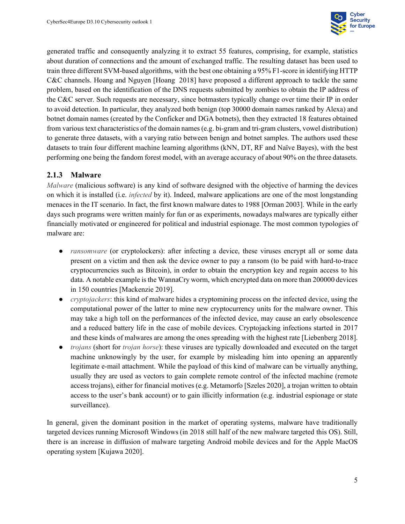

generated traffic and consequently analyzing it to extract 55 features, comprising, for example, statistics about duration of connections and the amount of exchanged traffic. The resulting dataset has been used to train three different SVM-based algorithms, with the best one obtaining a 95% F1-score in identifying HTTP C&C channels. Hoang and Nguyen [Hoang 2018] have proposed a different approach to tackle the same problem, based on the identification of the DNS requests submitted by zombies to obtain the IP address of the C&C server. Such requests are necessary, since botmasters typically change over time their IP in order to avoid detection. In particular, they analyzed both benign (top 30000 domain names ranked by Alexa) and botnet domain names (created by the Conficker and DGA botnets), then they extracted 18 features obtained from various text characteristics of the domain names (e.g. bi-gram and tri-gram clusters, vowel distribution) to generate three datasets, with a varying ratio between benign and botnet samples. The authors used these datasets to train four different machine learning algorithms (kNN, DT, RF and Naïve Bayes), with the best performing one being the fandom forest model, with an average accuracy of about 90% on the three datasets.

#### <span id="page-16-0"></span>**2.1.3 Malware**

*Malware* (malicious software) is any kind of software designed with the objective of harming the devices on which it is installed (i.e. *infected* by it). Indeed, malware applications are one of the most longstanding menaces in the IT scenario. In fact, the first known malware dates to 1988 [Orman 2003]. While in the early days such programs were written mainly for fun or as experiments, nowadays malwares are typically either financially motivated or engineered for political and industrial espionage. The most common typologies of malware are:

- *ransomware* (or cryptolockers): after infecting a device, these viruses encrypt all or some data present on a victim and then ask the device owner to pay a ransom (to be paid with hard-to-trace cryptocurrencies such as Bitcoin), in order to obtain the encryption key and regain access to his data. A notable example is the WannaCry worm, which encrypted data on more than 200000 devices in 150 countries [Mackenzie 2019].
- *cryptojackers*: this kind of malware hides a cryptomining process on the infected device, using the computational power of the latter to mine new cryptocurrency units for the malware owner. This may take a high toll on the performances of the infected device, may cause an early obsolescence and a reduced battery life in the case of mobile devices. Cryptojacking infections started in 2017 and these kinds of malwares are among the ones spreading with the highest rate [Liebenberg 2018].
- *trojans* (short for *trojan horse*): these viruses are typically downloaded and executed on the target machine unknowingly by the user, for example by misleading him into opening an apparently legitimate e-mail attachment. While the payload of this kind of malware can be virtually anything, usually they are used as vectors to gain complete remote control of the infected machine (remote access trojans), either for financial motives (e.g. Metamorfo [Szeles 2020], a trojan written to obtain access to the user's bank account) or to gain illicitly information (e.g. industrial espionage or state surveillance).

In general, given the dominant position in the market of operating systems, malware have traditionally targeted devices running Microsoft Windows (in 2018 still half of the new malware targeted this OS). Still, there is an increase in diffusion of malware targeting Android mobile devices and for the Apple MacOS operating system [Kujawa 2020].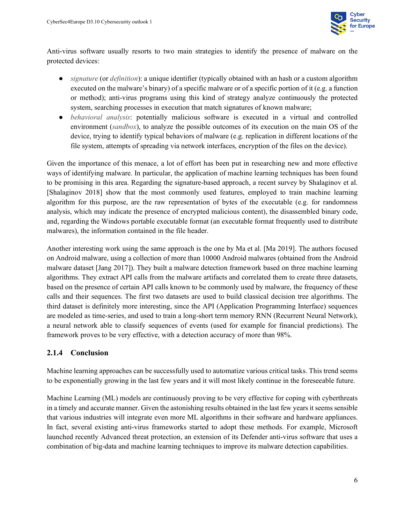

Anti-virus software usually resorts to two main strategies to identify the presence of malware on the protected devices:

- *signature* (or *definition*): a unique identifier (typically obtained with an hash or a custom algorithm executed on the malware's binary) of a specific malware or of a specific portion of it (e.g. a function or method); anti-virus programs using this kind of strategy analyze continuously the protected system, searching processes in execution that match signatures of known malware;
- *behavioral analysis*: potentially malicious software is executed in a virtual and controlled environment (*sandbox*), to analyze the possible outcomes of its execution on the main OS of the device, trying to identify typical behaviors of malware (e.g. replication in different locations of the file system, attempts of spreading via network interfaces, encryption of the files on the device).

Given the importance of this menace, a lot of effort has been put in researching new and more effective ways of identifying malware. In particular, the application of machine learning techniques has been found to be promising in this area. Regarding the signature-based approach, a recent survey by Shalaginov et al. [Shalaginov 2018] show that the most commonly used features, employed to train machine learning algorithm for this purpose, are the raw representation of bytes of the executable (e.g. for randomness analysis, which may indicate the presence of encrypted malicious content), the disassembled binary code, and, regarding the Windows portable executable format (an executable format frequently used to distribute malwares), the information contained in the file header.

Another interesting work using the same approach is the one by Ma et al. [Ma 2019]. The authors focused on Android malware, using a collection of more than 10000 Android malwares (obtained from the Android malware dataset [Jang 2017]). They built a malware detection framework based on three machine learning algorithms. They extract API calls from the malware artifacts and correlated them to create three datasets, based on the presence of certain API calls known to be commonly used by malware, the frequency of these calls and their sequences. The first two datasets are used to build classical decision tree algorithms. The third dataset is definitely more interesting, since the API (Application Programming Interface) sequences are modeled as time-series, and used to train a long-short term memory RNN (Recurrent Neural Network), a neural network able to classify sequences of events (used for example for financial predictions). The framework proves to be very effective, with a detection accuracy of more than 98%.

#### <span id="page-17-0"></span>**2.1.4 Conclusion**

Machine learning approaches can be successfully used to automatize various critical tasks. This trend seems to be exponentially growing in the last few years and it will most likely continue in the foreseeable future.

Machine Learning (ML) models are continuously proving to be very effective for coping with cyberthreats in a timely and accurate manner. Given the astonishing results obtained in the last few years it seems sensible that various industries will integrate even more ML algorithms in their software and hardware appliances. In fact, several existing anti-virus frameworks started to adopt these methods. For example, Microsoft launched recently Advanced threat protection, an extension of its Defender anti-virus software that uses a combination of big-data and machine learning techniques to improve its malware detection capabilities.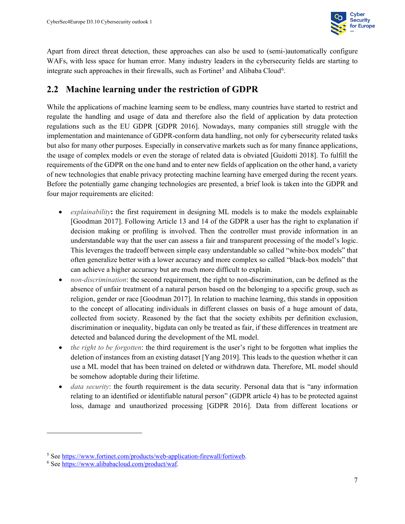

Apart from direct threat detection, these approaches can also be used to (semi-)automatically configure WAFs, with less space for human error. Many industry leaders in the cybersecurity fields are starting to integrate such approaches in their firewalls, such as Fortinet<sup>[5](#page-18-1)</sup> and Alibaba Cloud<sup>[6](#page-18-2)</sup>.

#### <span id="page-18-0"></span>**2.2 Machine learning under the restriction of GDPR**

While the applications of machine learning seem to be endless, many countries have started to restrict and regulate the handling and usage of data and therefore also the field of application by data protection regulations such as the EU GDPR [GDPR 2016]. Nowadays, many companies still struggle with the implementation and maintenance of GDPR-conform data handling, not only for cybersecurity related tasks but also for many other purposes. Especially in conservative markets such as for many finance applications, the usage of complex models or even the storage of related data is obviated [Guidotti 2018]. To fulfill the requirements of the GDPR on the one hand and to enter new fields of application on the other hand, a variety of new technologies that enable privacy protecting machine learning have emerged during the recent years. Before the potentially game changing technologies are presented, a brief look is taken into the GDPR and four major requirements are elicited:

- *explainability***:** the first requirement in designing ML models is to make the models explainable [Goodman 2017]. Following Article 13 and 14 of the GDPR a user has the right to explanation if decision making or profiling is involved. Then the controller must provide information in an understandable way that the user can assess a fair and transparent processing of the model's logic. This leverages the tradeoff between simple easy understandable so called "white-box models" that often generalize better with a lower accuracy and more complex so called "black-box models" that can achieve a higher accuracy but are much more difficult to explain.
- *non-discrimination*: the second requirement, the right to non-discrimination, can be defined as the absence of unfair treatment of a natural person based on the belonging to a specific group, such as religion, gender or race [Goodman 2017]. In relation to machine learning, this stands in opposition to the concept of allocating individuals in different classes on basis of a huge amount of data, collected from society. Reasoned by the fact that the society exhibits per definition exclusion, discrimination or inequality, bigdata can only be treated as fair, if these differences in treatment are detected and balanced during the development of the ML model.
- *the right to be forgotten*: the third requirement is the user's right to be forgotten what implies the deletion of instances from an existing dataset [Yang 2019]. This leads to the question whether it can use a ML model that has been trained on deleted or withdrawn data. Therefore, ML model should be somehow adoptable during their lifetime.
- *data security*: the fourth requirement is the data security. Personal data that is "any information" relating to an identified or identifiable natural person" (GDPR article 4) has to be protected against loss, damage and unauthorized processing [GDPR 2016]. Data from different locations or

<span id="page-18-1"></span><sup>&</sup>lt;sup>5</sup> Se[e https://www.fortinet.com/products/web-application-firewall/fortiweb.](https://www.fortinet.com/products/web-application-firewall/fortiweb)

<span id="page-18-2"></span><sup>6</sup> Se[e https://www.alibabacloud.com/product/waf.](https://www.alibabacloud.com/product/waf)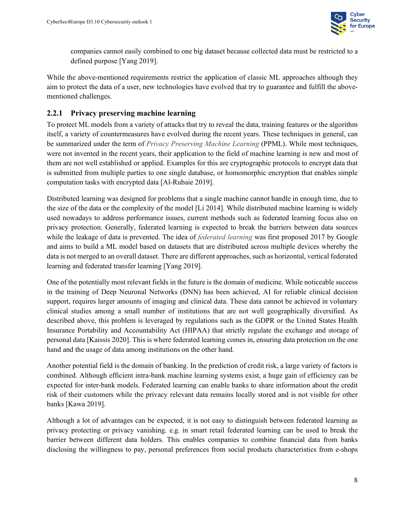

companies cannot easily combined to one big dataset because collected data must be restricted to a defined purpose [Yang 2019].

While the above-mentioned requirements restrict the application of classic ML approaches although they aim to protect the data of a user, new technologies have evolved that try to guarantee and fulfill the abovementioned challenges.

#### <span id="page-19-0"></span>**2.2.1 Privacy preserving machine learning**

To protect ML models from a variety of attacks that try to reveal the data, training features or the algorithm itself, a variety of countermeasures have evolved during the recent years. These techniques in general, can be summarized under the term of *Privacy Preserving Machine Learning* (PPML). While most techniques, were not invented in the recent years, their application to the field of machine learning is new and most of them are not well established or applied. Examples for this are cryptographic protocols to encrypt data that is submitted from multiple parties to one single database, or homomorphic encryption that enables simple computation tasks with encrypted data [Al-Rubaie 2019].

Distributed learning was designed for problems that a single machine cannot handle in enough time, due to the size of the data or the complexity of the model [Li 2014]. While distributed machine learning is widely used nowadays to address performance issues, current methods such as federated learning focus also on privacy protection. Generally, federated learning is expected to break the barriers between data sources while the leakage of data is prevented. The idea of *federated learning* was first proposed 2017 by Google and aims to build a ML model based on datasets that are distributed across multiple devices whereby the data is not merged to an overall dataset. There are different approaches, such as horizontal, vertical federated learning and federated transfer learning [Yang 2019].

One of the potentially most relevant fields in the future is the domain of medicine. While noticeable success in the training of Deep Neuronal Networks (DNN) has been achieved, AI for reliable clinical decision support, requires larger amounts of imaging and clinical data. These data cannot be achieved in voluntary clinical studies among a small number of institutions that are not well geographically diversified. As described above, this problem is leveraged by regulations such as the GDPR or the United States Health Insurance Portability and Accountability Act (HIPAA) that strictly regulate the exchange and storage of personal data [Kaissis 2020]. This is where federated learning comes in, ensuring data protection on the one hand and the usage of data among institutions on the other hand.

Another potential field is the domain of banking. In the prediction of credit risk, a large variety of factors is combined. Although efficient intra-bank machine learning systems exist, a huge gain of efficiency can be expected for inter-bank models. Federated learning can enable banks to share information about the credit risk of their customers while the privacy relevant data remains locally stored and is not visible for other banks [Kawa 2019].

Although a lot of advantages can be expected, it is not easy to distinguish between federated learning as privacy protecting or privacy vanishing. e.g. in smart retail federated learning can be used to break the barrier between different data holders. This enables companies to combine financial data from banks disclosing the willingness to pay, personal preferences from social products characteristics from e-shops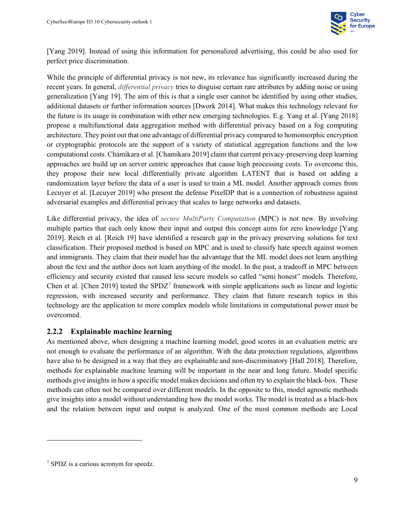

[Yang 2019]. Instead of using this information for personalized advertising, this could be also used for perfect price discrimination.

While the principle of differential privacy is not new, its relevance has significantly increased during the recent years. In general, *differential privacy* tries to disguise certain rare attributes by adding noise or using generalization [Yang 19]. The aim of this is that a single user cannot be identified by using other studies, additional datasets or further information sources [Dwork 2014]. What makes this technology relevant for the future is its usage in combination with other new emerging technologies. E.g. Yang et al. [Yang 2018] propose a multifunctional data aggregation method with differential privacy based on a fog computing architecture. They point out that one advantage of differential privacy compared to homomorphic encryption or cryptographic protocols are the support of a variety of statistical aggregation functions and the low computational costs. Chamikara et al. [Chamikara 2019] claim that current privacy-preserving deep learning approaches are build up on server centric approaches that cause high processing costs. To overcome this, they propose their new local differentially private algorithm LATENT that is based on adding a randomization layer before the data of a user is used to train a ML model. Another approach comes from Lecuyer et al. [Lecuyer 2019] who present the defense PixelDP that is a connection of robustness against adversarial examples and differential privacy that scales to large networks and datasets.

Like differential privacy, the idea of *secure MultiParty Computation* (MPC) is not new. By involving multiple parties that each only know their input and output this concept aims for zero knowledge [Yang 2019]. Reich et al. [Reich 19] have identified a research gap in the privacy preserving solutions for text classification. Their proposed method is based on MPC and is used to classify hate speech against women and immigrants. They claim that their model has the advantage that the ML model does not learn anything about the text and the author does not learn anything of the model. In the past, a tradeoff in MPC between efficiency and security existed that caused less secure models so called "semi honest" models. Therefore, Chen et al. [Chen 2019] tested the SPDZ<sup>[7](#page-20-1)</sup> framework with simple applications such as linear and logistic regression, with increased security and performance. They claim that future research topics in this technology are the application to more complex models while limitations in computational power must be overcomed.

#### <span id="page-20-0"></span>**2.2.2 Explainable machine learning**

As mentioned above, when designing a machine learning model, good scores in an evaluation metric are not enough to evaluate the performance of an algorithm. With the data protection regulations, algorithms have also to be designed in a way that they are explainable and non-discriminatory [Hall 2018]. Therefore, methods for explainable machine learning will be important in the near and long future. Model specific methods give insights in how a specific model makes decisions and often try to explain the black-box. These methods can often not be compared over different models. In the opposite to this, model agnostic methods give insights into a model without understanding how the model works. The model is treated as a black-box and the relation between input and output is analyzed. One of the most common methods are Local

<span id="page-20-1"></span><sup>7</sup> SPDZ is a curious acronym for speedz.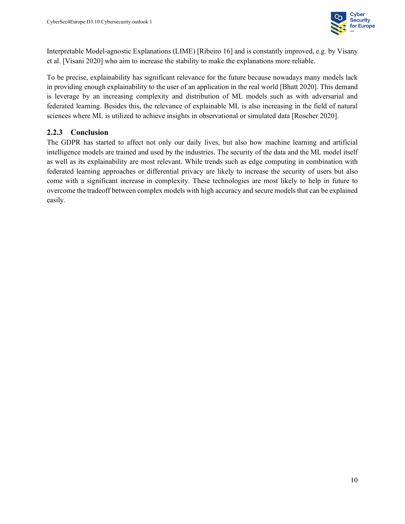

Interpretable Model-agnostic Explanations (LIME) [Ribeiro 16] and is constantly improved, e.g. by Visany et al. [Visani 2020] who aim to increase the stability to make the explanations more reliable.

To be precise, explainability has significant relevance for the future because nowadays many models lack in providing enough explainability to the user of an application in the real world [Bhatt 2020]. This demand is leverage by an increasing complexity and distribution of ML models such as with adversarial and federated learning. Besides this, the relevance of explainable ML is also increasing in the field of natural sciences where ML is utilized to achieve insights in observational or simulated data [Roscher 2020].

#### <span id="page-21-0"></span>**2.2.3 Conclusion**

The GDPR has started to affect not only our daily lives, but also how machine learning and artificial intelligence models are trained and used by the industries. The security of the data and the ML model itself as well as its explainability are most relevant. While trends such as edge computing in combination with federated learning approaches or differential privacy are likely to increase the security of users but also come with a significant increase in complexity. These technologies are most likely to help in future to overcome the tradeoff between complex models with high accuracy and secure models that can be explained easily.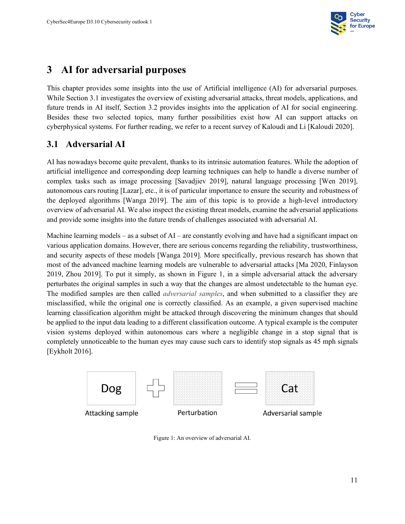

# <span id="page-22-0"></span>**3 AI for adversarial purposes**

This chapter provides some insights into the use of Artificial intelligence (AI) for adversarial purposes. While Section 3.1 investigates the overview of existing adversarial attacks, threat models, applications, and future trends in AI itself, Section 3.2 provides insights into the application of AI for social engineering. Besides these two selected topics, many further possibilities exist how AI can support attacks on cyberphysical systems. For further reading, we refer to a recent survey of Kaloudi and Li [Kaloudi 2020].

#### <span id="page-22-1"></span>**3.1 Adversarial AI**

AI has nowadays become quite prevalent, thanks to its intrinsic automation features. While the adoption of artificial intelligence and corresponding deep learning techniques can help to handle a diverse number of complex tasks such as image processing [Savadjiev 2019], natural language processing [Wen 2019], autonomous cars routing [Lazar], etc., it is of particular importance to ensure the security and robustness of the deployed algorithms [Wanga 2019]. The aim of this topic is to provide a high-level introductory overview of adversarial AI. We also inspect the existing threat models, examine the adversarial applications and provide some insights into the future trends of challenges associated with adversarial AI.

Machine learning models – as a subset of  $AI$  – are constantly evolving and have had a significant impact on various application domains. However, there are serious concerns regarding the reliability, trustworthiness, and security aspects of these models [Wanga 2019]. More specifically, previous research has shown that most of the advanced machine learning models are vulnerable to adversarial attacks [Ma 2020, Finlayson 2019, Zhou 2019]. To put it simply, as shown in [Figure 1,](#page-22-2) in a simple adversarial attack the adversary perturbates the original samples in such a way that the changes are almost undetectable to the human eye. The modified samples are then called *adversarial samples*, and when submitted to a classifier they are misclassified, while the original one is correctly classified. As an example, a given supervised machine learning classification algorithm might be attacked through discovering the minimum changes that should be applied to the input data leading to a different classification outcome. A typical example is the computer vision systems deployed within autonomous cars where a negligible change in a stop signal that is completely unnoticeable to the human eyes may cause such cars to identify stop signals as 45 mph signals [Eykholt 2016].

<span id="page-22-2"></span>

Figure 1: An overview of adversarial AI.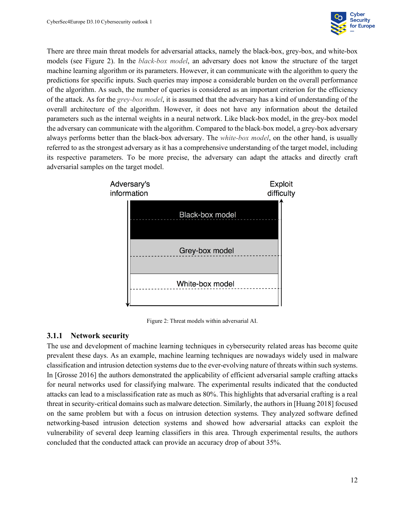

There are three main threat models for adversarial attacks, namely the black-box, grey-box, and white-box models (see [Figure 2\)](#page-23-1). In the *black-box model*, an adversary does not know the structure of the target machine learning algorithm or its parameters. However, it can communicate with the algorithm to query the predictions for specific inputs. Such queries may impose a considerable burden on the overall performance of the algorithm. As such, the number of queries is considered as an important criterion for the efficiency of the attack. As for the *grey-box model*, it is assumed that the adversary has a kind of understanding of the overall architecture of the algorithm. However, it does not have any information about the detailed parameters such as the internal weights in a neural network. Like black-box model, in the grey-box model the adversary can communicate with the algorithm. Compared to the black-box model, a grey-box adversary always performs better than the black-box adversary. The *white-box model*, on the other hand, is usually referred to as the strongest adversary as it has a comprehensive understanding of the target model, including its respective parameters. To be more precise, the adversary can adapt the attacks and directly craft adversarial samples on the target model.



Figure 2: Threat models within adversarial AI.

#### <span id="page-23-1"></span><span id="page-23-0"></span>**3.1.1 Network security**

The use and development of machine learning techniques in cybersecurity related areas has become quite prevalent these days. As an example, machine learning techniques are nowadays widely used in malware classification and intrusion detection systems due to the ever-evolving nature of threats within such systems. In [Grosse 2016] the authors demonstrated the applicability of efficient adversarial sample crafting attacks for neural networks used for classifying malware. The experimental results indicated that the conducted attacks can lead to a misclassification rate as much as 80%. This highlights that adversarial crafting is a real threat in security-critical domains such as malware detection. Similarly, the authors in [Huang 2018] focused on the same problem but with a focus on intrusion detection systems. They analyzed software defined networking-based intrusion detection systems and showed how adversarial attacks can exploit the vulnerability of several deep learning classifiers in this area. Through experimental results, the authors concluded that the conducted attack can provide an accuracy drop of about 35%.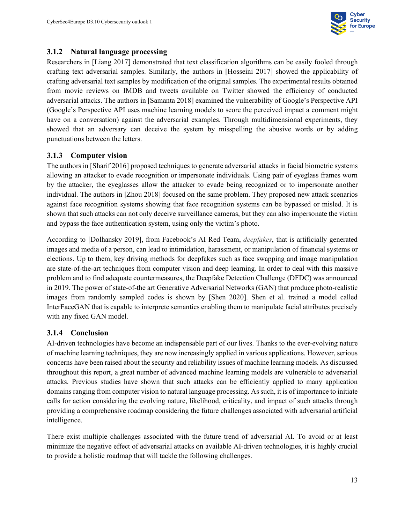

#### <span id="page-24-0"></span>**3.1.2 Natural language processing**

Researchers in [Liang 2017] demonstrated that text classification algorithms can be easily fooled through crafting text adversarial samples. Similarly, the authors in [Hosseini 2017] showed the applicability of crafting adversarial text samples by modification of the original samples. The experimental results obtained from movie reviews on IMDB and tweets available on Twitter showed the efficiency of conducted adversarial attacks. The authors in [Samanta 2018] examined the vulnerability of Google's Perspective API (Google's Perspective API uses machine learning models to score the perceived impact a comment might have on a conversation) against the adversarial examples. Through multidimensional experiments, they showed that an adversary can deceive the system by misspelling the abusive words or by adding punctuations between the letters.

#### <span id="page-24-1"></span>**3.1.3 Computer vision**

The authors in [Sharif 2016] proposed techniques to generate adversarial attacks in facial biometric systems allowing an attacker to evade recognition or impersonate individuals. Using pair of eyeglass frames worn by the attacker, the eyeglasses allow the attacker to evade being recognized or to impersonate another individual. The authors in [Zhou 2018] focused on the same problem. They proposed new attack scenarios against face recognition systems showing that face recognition systems can be bypassed or misled. It is shown that such attacks can not only deceive surveillance cameras, but they can also impersonate the victim and bypass the face authentication system, using only the victim's photo.

According to [Dolhansky 2019], from Facebook's AI Red Team, *deepfakes*, that is artificially generated images and media of a person, can lead to intimidation, harassment, or manipulation of financial systems or elections. Up to them, key driving methods for deepfakes such as face swapping and image manipulation are state-of-the-art techniques from computer vision and deep learning. In order to deal with this massive problem and to find adequate countermeasures, the Deepfake Detection Challenge (DFDC) was announced in 2019. The power of state-of-the art Generative Adversarial Networks (GAN) that produce photo-realistic images from randomly sampled codes is shown by [Shen 2020]. Shen et al. trained a model called InterFaceGAN that is capable to interprete semantics enabling them to manipulate facial attributes precisely with any fixed GAN model.

#### <span id="page-24-2"></span>**3.1.4 Conclusion**

AI-driven technologies have become an indispensable part of our lives. Thanks to the ever-evolving nature of machine learning techniques, they are now increasingly applied in various applications. However, serious concerns have been raised about the security and reliability issues of machine learning models. As discussed throughout this report, a great number of advanced machine learning models are vulnerable to adversarial attacks. Previous studies have shown that such attacks can be efficiently applied to many application domains ranging from computer vision to natural language processing. As such, it is of importance to initiate calls for action considering the evolving nature, likelihood, criticality, and impact of such attacks through providing a comprehensive roadmap considering the future challenges associated with adversarial artificial intelligence.

There exist multiple challenges associated with the future trend of adversarial AI. To avoid or at least minimize the negative effect of adversarial attacks on available AI-driven technologies, it is highly crucial to provide a holistic roadmap that will tackle the following challenges.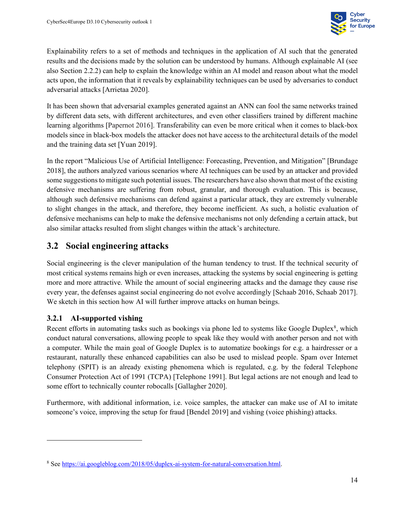

Explainability refers to a set of methods and techniques in the application of AI such that the generated results and the decisions made by the solution can be understood by humans. Although explainable AI (see also Section 2.2.2) can help to explain the knowledge within an AI model and reason about what the model acts upon, the information that it reveals by explainability techniques can be used by adversaries to conduct adversarial attacks [Arrietaa 2020].

It has been shown that adversarial examples generated against an ANN can fool the same networks trained by different data sets, with different architectures, and even other classifiers trained by different machine learning algorithms [Papernot 2016]. Transferability can even be more critical when it comes to black-box models since in black-box models the attacker does not have access to the architectural details of the model and the training data set [Yuan 2019].

In the report "Malicious Use of Artificial Intelligence: Forecasting, Prevention, and Mitigation" [Brundage 2018], the authors analyzed various scenarios where AI techniques can be used by an attacker and provided some suggestions to mitigate such potential issues. The researchers have also shown that most of the existing defensive mechanisms are suffering from robust, granular, and thorough evaluation. This is because, although such defensive mechanisms can defend against a particular attack, they are extremely vulnerable to slight changes in the attack, and therefore, they become inefficient. As such, a holistic evaluation of defensive mechanisms can help to make the defensive mechanisms not only defending a certain attack, but also similar attacks resulted from slight changes within the attack's architecture.

## <span id="page-25-0"></span>**3.2 Social engineering attacks**

Social engineering is the clever manipulation of the human tendency to trust. If the technical security of most critical systems remains high or even increases, attacking the systems by social engineering is getting more and more attractive. While the amount of social engineering attacks and the damage they cause rise every year, the defenses against social engineering do not evolve accordingly [Schaab 2016, Schaab 2017]. We sketch in this section how AI will further improve attacks on human beings.

#### <span id="page-25-1"></span>**3.2.1 AI-supported vishing**

Recent efforts in automating tasks such as bookings via phone led to systems like Google Duplex $\delta$ , which conduct natural conversations, allowing people to speak like they would with another person and not with a computer. While the main goal of Google Duplex is to automatize bookings for e.g. a hairdresser or a restaurant, naturally these enhanced capabilities can also be used to mislead people. Spam over Internet telephony (SPIT) is an already existing phenomena which is regulated, e.g. by the federal Telephone Consumer Protection Act of 1991 (TCPA) [Telephone 1991]. But legal actions are not enough and lead to some effort to technically counter robocalls [Gallagher 2020].

Furthermore, with additional information, i.e. voice samples, the attacker can make use of AI to imitate someone's voice, improving the setup for fraud [Bendel 2019] and vishing (voice phishing) attacks.

<span id="page-25-2"></span><sup>8</sup> Se[e https://ai.googleblog.com/2018/05/duplex-ai-system-for-natural-conversation.html.](https://ai.googleblog.com/2018/05/duplex-ai-system-for-natural-conversation.html)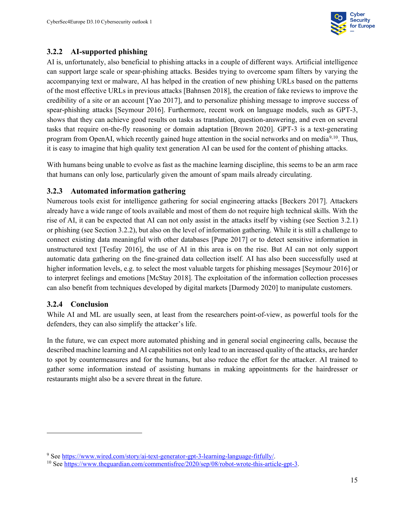

#### <span id="page-26-0"></span>**3.2.2 AI-supported phishing**

AI is, unfortunately, also beneficial to phishing attacks in a couple of different ways. Artificial intelligence can support large scale or spear-phishing attacks. Besides trying to overcome spam filters by varying the accompanying text or malware, AI has helped in the creation of new phishing URLs based on the patterns of the most effective URLs in previous attacks [Bahnsen 2018], the creation of fake reviews to improve the credibility of a site or an account [Yao 2017], and to personalize phishing message to improve success of spear-phishing attacks [Seymour 2016]. Furthermore, recent work on language models, such as GPT-3, shows that they can achieve good results on tasks as translation, question-answering, and even on several tasks that require on-the-fly reasoning or domain adaptation [Brown 2020]. GPT-3 is a text-generating program from OpenAI, which recently gained huge attention in the social networks and on media<sup>[9,](#page-26-3)[10](#page-26-4)</sup>. Thus, it is easy to imagine that high quality text generation AI can be used for the content of phishing attacks.

With humans being unable to evolve as fast as the machine learning discipline, this seems to be an arm race that humans can only lose, particularly given the amount of spam mails already circulating.

#### <span id="page-26-1"></span>**3.2.3 Automated information gathering**

Numerous tools exist for intelligence gathering for social engineering attacks [Beckers 2017]. Attackers already have a wide range of tools available and most of them do not require high technical skills. With the rise of AI, it can be expected that AI can not only assist in the attacks itself by vishing (see Section 3.2.1) or phishing (see Section 3.2.2), but also on the level of information gathering. While it is still a challenge to connect existing data meaningful with other databases [Pape 2017] or to detect sensitive information in unstructured text [Tesfay 2016], the use of AI in this area is on the rise. But AI can not only support automatic data gathering on the fine-grained data collection itself. AI has also been successfully used at higher information levels, e.g. to select the most valuable targets for phishing messages [Seymour 2016] or to interpret feelings and emotions [McStay 2018]. The exploitation of the information collection processes can also benefit from techniques developed by digital markets [Darmody 2020] to manipulate customers.

#### <span id="page-26-2"></span>**3.2.4 Conclusion**

While AI and ML are usually seen, at least from the researchers point-of-view, as powerful tools for the defenders, they can also simplify the attacker's life.

In the future, we can expect more automated phishing and in general social engineering calls, because the described machine learning and AI capabilities not only lead to an increased quality of the attacks, are harder to spot by countermeasures and for the humans, but also reduce the effort for the attacker. AI trained to gather some information instead of assisting humans in making appointments for the hairdresser or restaurants might also be a severe threat in the future.

<span id="page-26-3"></span><sup>9</sup> Se[e https://www.wired.com/story/ai-text-generator-gpt-3-learning-language-fitfully/.](https://www.wired.com/story/ai-text-generator-gpt-3-learning-language-fitfully/)

<span id="page-26-4"></span><sup>10</sup> See [https://www.theguardian.com/commentisfree/2020/sep/08/robot-wrote-this-article-gpt-3.](https://www.theguardian.com/commentisfree/2020/sep/08/robot-wrote-this-article-gpt-3)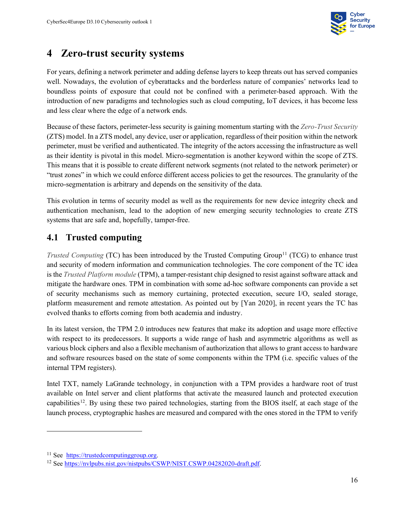

# <span id="page-27-0"></span>**4 Zero-trust security systems**

For years, defining a network perimeter and adding defense layers to keep threats out has served companies well. Nowadays, the evolution of cyberattacks and the borderless nature of companies' networks lead to boundless points of exposure that could not be confined with a perimeter-based approach. With the introduction of new paradigms and technologies such as cloud computing, IoT devices, it has become less and less clear where the edge of a network ends.

Because of these factors, perimeter-less security is gaining momentum starting with the *Zero-Trust Security* (ZTS) model. In a ZTS model, any device, user or application, regardless of their position within the network perimeter, must be verified and authenticated. The integrity of the actors accessing the infrastructure as well as their identity is pivotal in this model. Micro-segmentation is another keyword within the scope of ZTS. This means that it is possible to create different network segments (not related to the network perimeter) or "trust zones" in which we could enforce different access policies to get the resources. The granularity of the micro-segmentation is arbitrary and depends on the sensitivity of the data.

This evolution in terms of security model as well as the requirements for new device integrity check and authentication mechanism, lead to the adoption of new emerging security technologies to create ZTS systems that are safe and, hopefully, tamper-free.

# <span id="page-27-1"></span>**4.1 Trusted computing**

*Trusted Computing* (TC) has been introduced by the Trusted Computing Group<sup>[11](#page-27-2)</sup> (TCG) to enhance trust and security of modern information and communication technologies. The core component of the TC idea is the *Trusted Platform module* (TPM), a tamper-resistant chip designed to resist against software attack and mitigate the hardware ones. TPM in combination with some ad-hoc software components can provide a set of security mechanisms such as memory curtaining, protected execution, secure I/O, sealed storage, platform measurement and remote attestation. As pointed out by [Yan 2020], in recent years the TC has evolved thanks to efforts coming from both academia and industry.

In its latest version, the TPM 2.0 introduces new features that make its adoption and usage more effective with respect to its predecessors. It supports a wide range of hash and asymmetric algorithms as well as various block ciphers and also a flexible mechanism of authorization that allows to grant access to hardware and software resources based on the state of some components within the TPM (i.e. specific values of the internal TPM registers).

Intel TXT, namely LaGrande technology, in conjunction with a TPM provides a hardware root of trust available on Intel server and client platforms that activate the measured launch and protected execution capabilities[12.](#page-27-3) By using these two paired technologies, starting from the BIOS itself, at each stage of the launch process, cryptographic hashes are measured and compared with the ones stored in the TPM to verify

<span id="page-27-2"></span><sup>&</sup>lt;sup>11</sup> See [https://trustedcomputinggroup.org.](https://trustedcomputinggroup.org/)

<span id="page-27-3"></span><sup>&</sup>lt;sup>12</sup> Se[e https://nvlpubs.nist.gov/nistpubs/CSWP/NIST.CSWP.04282020-draft.pdf.](https://nvlpubs.nist.gov/nistpubs/CSWP/NIST.CSWP.04282020-draft.pdf)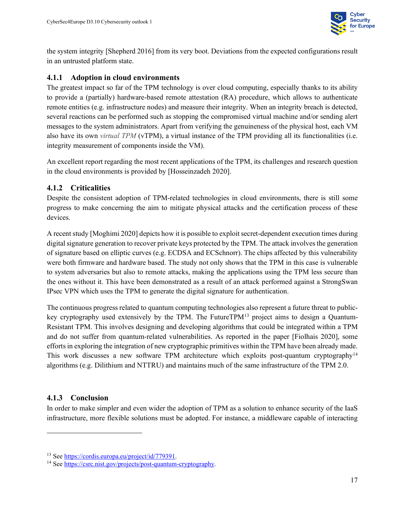

the system integrity [Shepherd 2016] from its very boot. Deviations from the expected configurations result in an untrusted platform state.

#### <span id="page-28-0"></span>**4.1.1 Adoption in cloud environments**

The greatest impact so far of the TPM technology is over cloud computing, especially thanks to its ability to provide a (partially) hardware-based remote attestation (RA) procedure, which allows to authenticate remote entities (e.g. infrastructure nodes) and measure their integrity. When an integrity breach is detected, several reactions can be performed such as stopping the compromised virtual machine and/or sending alert messages to the system administrators. Apart from verifying the genuineness of the physical host, each VM also have its own *virtual TPM* (vTPM), a virtual instance of the TPM providing all its functionalities (i.e. integrity measurement of components inside the VM).

An excellent report regarding the most recent applications of the TPM, its challenges and research question in the cloud environments is provided by [Hosseinzadeh 2020].

#### <span id="page-28-1"></span>**4.1.2 Criticalities**

Despite the consistent adoption of TPM-related technologies in cloud environments, there is still some progress to make concerning the aim to mitigate physical attacks and the certification process of these devices.

A recent study [Moghimi 2020] depicts how it is possible to exploit secret-dependent execution times during digital signature generation to recover private keys protected by the TPM. The attack involves the generation of signature based on elliptic curves (e.g. ECDSA and ECSchnorr). The chips affected by this vulnerability were both firmware and hardware based. The study not only shows that the TPM in this case is vulnerable to system adversaries but also to remote attacks, making the applications using the TPM less secure than the ones without it. This have been demonstrated as a result of an attack performed against a StrongSwan IPsec VPN which uses the TPM to generate the digital signature for authentication.

The continuous progress related to quantum computing technologies also represent a future threat to public-key cryptography used extensively by the TPM. The FutureTPM<sup>[13](#page-28-3)</sup> project aims to design a Quantum-Resistant TPM. This involves designing and developing algorithms that could be integrated within a TPM and do not suffer from quantum-related vulnerabilities. As reported in the paper [Fiolhais 2020], some efforts in exploring the integration of new cryptographic primitives within the TPM have been already made. This work discusses a new software TPM architecture which exploits post-quantum cryptography<sup>[14](#page-28-4)</sup> algorithms (e.g. Dilithium and NTTRU) and maintains much of the same infrastructure of the TPM 2.0.

#### <span id="page-28-2"></span>**4.1.3 Conclusion**

In order to make simpler and even wider the adoption of TPM as a solution to enhance security of the IaaS infrastructure, more flexible solutions must be adopted. For instance, a middleware capable of interacting

<span id="page-28-3"></span><sup>&</sup>lt;sup>13</sup> See [https://cordis.europa.eu/project/id/779391.](https://cordis.europa.eu/project/id/779391)

<span id="page-28-4"></span><sup>14</sup> See [https://csrc.nist.gov/projects/post-quantum-cryptography.](https://csrc.nist.gov/projects/post-quantum-cryptography)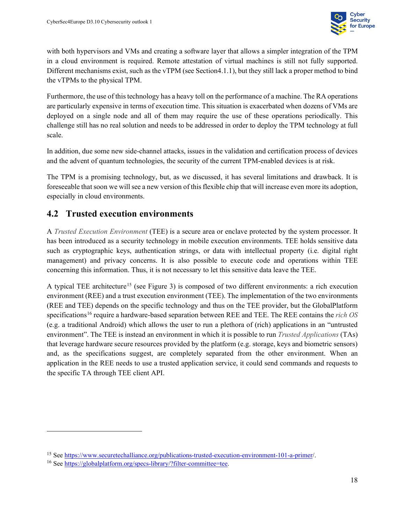

with both hypervisors and VMs and creating a software layer that allows a simpler integration of the TPM in a cloud environment is required. Remote attestation of virtual machines is still not fully supported. Different mechanisms exist, such as the vTPM (see Section4.1.1), but they still lack a proper method to bind the vTPMs to the physical TPM.

Furthermore, the use of this technology has a heavy toll on the performance of a machine. The RA operations are particularly expensive in terms of execution time. This situation is exacerbated when dozens of VMs are deployed on a single node and all of them may require the use of these operations periodically. This challenge still has no real solution and needs to be addressed in order to deploy the TPM technology at full scale.

In addition, due some new side-channel attacks, issues in the validation and certification process of devices and the advent of quantum technologies, the security of the current TPM-enabled devices is at risk.

The TPM is a promising technology, but, as we discussed, it has several limitations and drawback. It is foreseeable that soon we will see a new version of this flexible chip that will increase even more its adoption, especially in cloud environments.

#### <span id="page-29-0"></span>**4.2 Trusted execution environments**

A *Trusted Execution Environment* (TEE) is a secure area or enclave protected by the system processor. It has been introduced as a security technology in mobile execution environments. TEE holds sensitive data such as cryptographic keys, authentication strings, or data with intellectual property (i.e. digital right management) and privacy concerns. It is also possible to execute code and operations within TEE concerning this information. Thus, it is not necessary to let this sensitive data leave the TEE.

A typical TEE architecture<sup>[15](#page-29-1)</sup> (see [Figure 3\)](#page-30-1) is composed of two different environments: a rich execution environment (REE) and a trust execution environment (TEE). The implementation of the two environments (REE and TEE) depends on the specific technology and thus on the TEE provider, but the GlobalPlatform specifications[16](#page-29-2) require a hardware-based separation between REE and TEE. The REE contains the *rich OS* (e.g. a traditional Android) which allows the user to run a plethora of (rich) applications in an "untrusted environment". The TEE is instead an environment in which it is possible to run *Trusted Applications* (TAs) that leverage hardware secure resources provided by the platform (e.g. storage, keys and biometric sensors) and, as the specifications suggest, are completely separated from the other environment. When an application in the REE needs to use a trusted application service, it could send commands and requests to the specific TA through TEE client API.

<span id="page-29-1"></span><sup>&</sup>lt;sup>15</sup> Se[e https://www.securetechalliance.org/publications-trusted-execution-environment-101-a-primer/](https://www.securetechalliance.org/publications-trusted-execution-environment-101-a-primer/).

<span id="page-29-2"></span><sup>&</sup>lt;sup>16</sup> Se[e https://globalplatform.org/specs-library/?filter-committee=tee.](https://globalplatform.org/specs-library/?filter-committee=tee)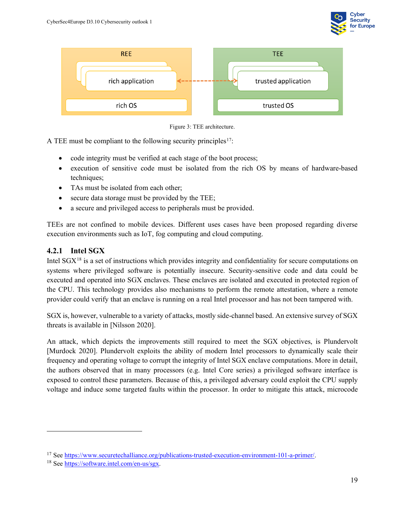





<span id="page-30-1"></span>A TEE must be compliant to the following security principles<sup>[17](#page-30-2)</sup>:

- code integrity must be verified at each stage of the boot process;
- execution of sensitive code must be isolated from the rich OS by means of hardware-based techniques;
- TAs must be isolated from each other;
- secure data storage must be provided by the TEE;
- a secure and privileged access to peripherals must be provided.

TEEs are not confined to mobile devices. Different uses cases have been proposed regarding diverse execution environments such as IoT, fog computing and cloud computing.

#### <span id="page-30-0"></span>**4.2.1 Intel SGX**

Intel  $SGX^{18}$  $SGX^{18}$  $SGX^{18}$  is a set of instructions which provides integrity and confidentiality for secure computations on systems where privileged software is potentially insecure. Security-sensitive code and data could be executed and operated into SGX enclaves. These enclaves are isolated and executed in protected region of the CPU. This technology provides also mechanisms to perform the remote attestation, where a remote provider could verify that an enclave is running on a real Intel processor and has not been tampered with.

SGX is, however, vulnerable to a variety of attacks, mostly side-channel based. An extensive survey of SGX threats is available in [Nilsson 2020].

An attack, which depicts the improvements still required to meet the SGX objectives, is Plundervolt [Murdock 2020]. Plundervolt exploits the ability of modern Intel processors to dynamically scale their frequency and operating voltage to corrupt the integrity of Intel SGX enclave computations. More in detail, the authors observed that in many processors (e.g. Intel Core series) a privileged software interface is exposed to control these parameters. Because of this, a privileged adversary could exploit the CPU supply voltage and induce some targeted faults within the processor. In order to mitigate this attack, microcode

<span id="page-30-2"></span><sup>17</sup> Se[e https://www.securetechalliance.org/publications-trusted-execution-environment-101-a-primer/.](https://www.securetechalliance.org/publications-trusted-execution-environment-101-a-primer/)

<span id="page-30-3"></span><sup>18</sup> Se[e https://software.intel.com/en-us/sgx.](https://software.intel.com/en-us/sgx)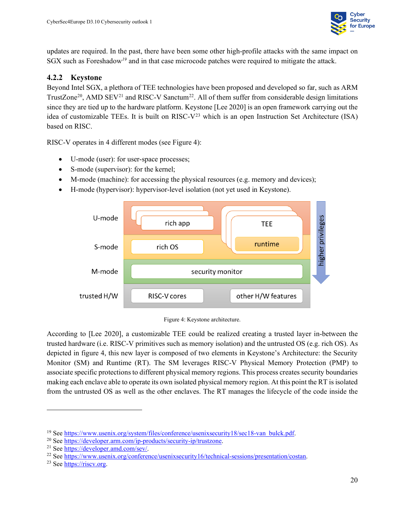

updates are required. In the past, there have been some other high-profile attacks with the same impact on SGX such as Foreshadow*[19](#page-31-2)* and in that case microcode patches were required to mitigate the attack.

#### <span id="page-31-0"></span>**4.2.2 Keystone**

Beyond Intel SGX, a plethora of TEE technologies have been proposed and developed so far, such as ARM TrustZone<sup>[20](#page-31-3)</sup>, AMD SEV<sup>[21](#page-31-4)</sup> and RISC-V Sanctum<sup>[22](#page-31-5)</sup>. All of them suffer from considerable design limitations since they are tied up to the hardware platform. Keystone [Lee 2020] is an open framework carrying out the idea of customizable TEEs. It is built on RISC- $V^{23}$  $V^{23}$  $V^{23}$  which is an open Instruction Set Architecture (ISA) based on RISC.

RISC-V operates in 4 different modes (see [Figure 4\)](#page-31-1):

- U-mode (user): for user-space processes;
- S-mode (supervisor): for the kernel;
- M-mode (machine): for accessing the physical resources (e.g. memory and devices);
- H-mode (hypervisor): hypervisor-level isolation (not yet used in Keystone).





<span id="page-31-1"></span>According to [Lee 2020], a customizable TEE could be realized creating a trusted layer in-between the trusted hardware (i.e. RISC-V primitives such as memory isolation) and the untrusted OS (e.g. rich OS). As depicted in figure 4, this new layer is composed of two elements in Keystone's Architecture: the Security Monitor (SM) and Runtime (RT). The SM leverages RISC-V Physical Memory Protection (PMP) to associate specific protections to different physical memory regions. This process creates security boundaries making each enclave able to operate its own isolated physical memory region. At this point the RT is isolated from the untrusted OS as well as the other enclaves. The RT manages the lifecycle of the code inside the

<span id="page-31-2"></span><sup>&</sup>lt;sup>19</sup> See [https://www.usenix.org/system/files/conference/usenixsecurity18/sec18-van\\_bulck.pdf.](https://www.usenix.org/system/files/conference/usenixsecurity18/sec18-van_bulck.pdf)

<span id="page-31-3"></span><sup>20</sup> See [https://developer.arm.com/ip-products/security-ip/trustzone.](https://developer.arm.com/ip-products/security-ip/trustzone)

<span id="page-31-4"></span><sup>21</sup> See [https://developer.amd.com/sev/.](https://developer.amd.com/sev/)

<span id="page-31-5"></span><sup>22</sup> See [https://www.usenix.org/conference/usenixsecurity16/technical-sessions/presentation/costan.](https://www.usenix.org/conference/usenixsecurity16/technical-sessions/presentation/costan)

<span id="page-31-6"></span><sup>&</sup>lt;sup>23</sup> See https://riscy.org.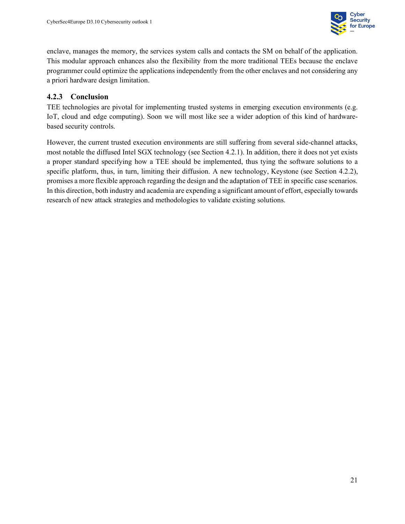

enclave, manages the memory, the services system calls and contacts the SM on behalf of the application. This modular approach enhances also the flexibility from the more traditional TEEs because the enclave programmer could optimize the applications independently from the other enclaves and not considering any a priori hardware design limitation.

#### <span id="page-32-0"></span>**4.2.3 Conclusion**

TEE technologies are pivotal for implementing trusted systems in emerging execution environments (e.g. IoT, cloud and edge computing). Soon we will most like see a wider adoption of this kind of hardwarebased security controls.

However, the current trusted execution environments are still suffering from several side-channel attacks, most notable the diffused Intel SGX technology (see Section 4.2.1). In addition, there it does not yet exists a proper standard specifying how a TEE should be implemented, thus tying the software solutions to a specific platform, thus, in turn, limiting their diffusion. A new technology, Keystone (see Section 4.2.2), promises a more flexible approach regarding the design and the adaptation of TEE in specific case scenarios. In this direction, both industry and academia are expending a significant amount of effort, especially towards research of new attack strategies and methodologies to validate existing solutions.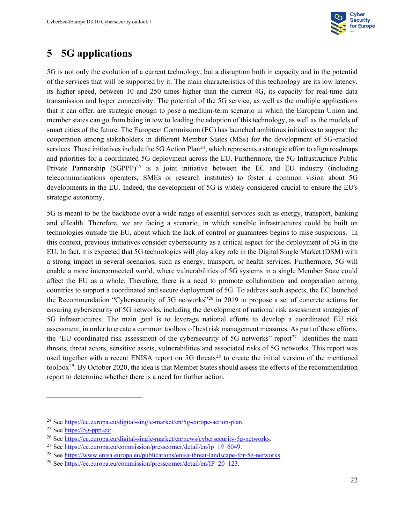

# <span id="page-33-0"></span>**5 5G applications**

5G is not only the evolution of a current technology, but a disruption both in capacity and in the potential of the services that will be supported by it. The main characteristics of this technology are its low latency, its higher speed, between 10 and 250 times higher than the current 4G, its capacity for real-time data transmission and hyper connectivity. The potential of the 5G service, as well as the multiple applications that it can offer, are strategic enough to pose a medium-term scenario in which the European Union and member states can go from being in tow to leading the adoption of this technology, as well as the models of smart cities of the future. The European Commission (EC) has launched ambitious initiatives to support the cooperation among stakeholders in different Member States (MSs) for the development of 5G-enabled services. These initiatives include the 5G Action Plan<sup>[24](#page-33-1)</sup>, which represents a strategic effort to align roadmaps and priorities for a coordinated 5G deployment across the EU. Furthermore, the 5G Infrastructure Public Private Partnership  $(5GPPP)^{25}$  is a joint initiative between the EC and EU industry (including telecommunications operators, SMEs or research institutes) to foster a common vision about 5G developments in the EU. Indeed, the development of 5G is widely considered crucial to ensure the EU's strategic autonomy.

5G is meant to be the backbone over a wide range of essential services such as energy, transport, banking and eHealth. Therefore, we are facing a scenario, in which sensible infrastructures could be built on technologies outside the EU, about which the lack of control or guarantees begins to raise suspicions. In this context, previous initiatives consider cybersecurity as a critical aspect for the deployment of 5G in the EU. In fact, it is expected that 5G technologies will play a key role in the Digital Single Market (DSM) with a strong impact in several scenarios, such as energy, transport, or health services. Furthermore, 5G will enable a more interconnected world, where vulnerabilities of 5G systems in a single Member State could affect the EU as a whole. Therefore, there is a need to promote collaboration and cooperation among countries to support a coordinated and secure deployment of 5G. To address such aspects, the EC launched the Recommendation "Cybersecurity of 5G networks"[26](#page-33-3) in 2019 to propose a set of concrete actions for ensuring cybersecurity of 5G networks, including the development of national risk assessment strategies of 5G infrastructures. The main goal is to leverage national efforts to develop a coordinated EU risk assessment, in order to create a common toolbox of best risk management measures. As part of these efforts, the "EU coordinated risk assessment of the cybersecurity of 5G networks" report<sup>27</sup> identifies the main threats, threat actors, sensitive assets, vulnerabilities and associated risks of 5G networks. This report was used together with a recent ENISA report on  $5G$  threats<sup>[28](#page-33-5)</sup> to create the initial version of the mentioned toolbox[29](#page-33-6). By October 2020, the idea is that Member States should assess the effects of the recommendation report to determine whether there is a need for further action.

<span id="page-33-1"></span><sup>24</sup> Se[e https://ec.europa.eu/digital-single-market/en/5g-europe-action-plan.](https://ec.europa.eu/digital-single-market/en/5g-europe-action-plan)

<span id="page-33-2"></span> $25$  Se[e https://5g-ppp.eu/.](https://5g-ppp.eu/)

<span id="page-33-3"></span><sup>&</sup>lt;sup>26</sup> Se[e https://ec.europa.eu/digital-single-market/en/news/cybersecurity-5g-networks.](https://ec.europa.eu/digital-single-market/en/news/cybersecurity-5g-networks)

<span id="page-33-4"></span><sup>&</sup>lt;sup>27</sup> Se[e https://ec.europa.eu/commission/presscorner/detail/en/ip\\_19\\_6049.](https://ec.europa.eu/commission/presscorner/detail/en/ip_19_6049)

<span id="page-33-5"></span><sup>28</sup> Se[e https://www.enisa.europa.eu/publications/enisa-threat-landscape-for-5g-networks.](https://www.enisa.europa.eu/publications/enisa-threat-landscape-for-5g-networks)

<span id="page-33-6"></span><sup>&</sup>lt;sup>29</sup> Se[e https://ec.europa.eu/commission/presscorner/detail/en/IP\\_20\\_123.](https://ec.europa.eu/commission/presscorner/detail/en/IP_20_123)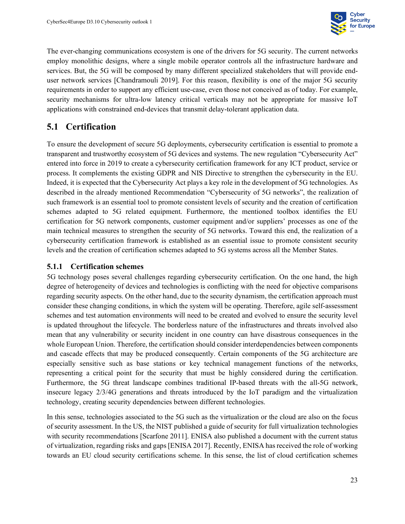

The ever-changing communications ecosystem is one of the drivers for 5G security. The current networks employ monolithic designs, where a single mobile operator controls all the infrastructure hardware and services. But, the 5G will be composed by many different specialized stakeholders that will provide enduser network services [Chandramouli 2019]. For this reason, flexibility is one of the major 5G security requirements in order to support any efficient use-case, even those not conceived as of today. For example, security mechanisms for ultra-low latency critical verticals may not be appropriate for massive IoT applications with constrained end-devices that transmit delay-tolerant application data.

# <span id="page-34-0"></span>**5.1 Certification**

To ensure the development of secure 5G deployments, cybersecurity certification is essential to promote a transparent and trustworthy ecosystem of 5G devices and systems. The new regulation "Cybersecurity Act" entered into force in 2019 to create a cybersecurity certification framework for any ICT product, service or process. It complements the existing GDPR and NIS Directive to strengthen the cybersecurity in the EU. Indeed, it is expected that the Cybersecurity Act plays a key role in the development of 5G technologies. As described in the already mentioned Recommendation "Cybersecurity of 5G networks", the realization of such framework is an essential tool to promote consistent levels of security and the creation of certification schemes adapted to 5G related equipment. Furthermore, the mentioned toolbox identifies the EU certification for 5G network components, customer equipment and/or suppliers' processes as one of the main technical measures to strengthen the security of 5G networks. Toward this end, the realization of a cybersecurity certification framework is established as an essential issue to promote consistent security levels and the creation of certification schemes adapted to 5G systems across all the Member States.

#### <span id="page-34-1"></span>**5.1.1 Certification schemes**

5G technology poses several challenges regarding cybersecurity certification. On the one hand, the high degree of heterogeneity of devices and technologies is conflicting with the need for objective comparisons regarding security aspects. On the other hand, due to the security dynamism, the certification approach must consider these changing conditions, in which the system will be operating. Therefore, agile self-assessment schemes and test automation environments will need to be created and evolved to ensure the security level is updated throughout the lifecycle. The borderless nature of the infrastructures and threats involved also mean that any vulnerability or security incident in one country can have disastrous consequences in the whole European Union. Therefore, the certification should consider interdependencies between components and cascade effects that may be produced consequently. Certain components of the 5G architecture are especially sensitive such as base stations or key technical management functions of the networks, representing a critical point for the security that must be highly considered during the certification. Furthermore, the 5G threat landscape combines traditional IP-based threats with the all-5G network, insecure legacy 2/3/4G generations and threats introduced by the IoT paradigm and the virtualization technology, creating security dependencies between different technologies.

In this sense, technologies associated to the 5G such as the virtualization or the cloud are also on the focus of security assessment. In the US, the NIST published a guide of security for full virtualization technologies with security recommendations [Scarfone 2011]. ENISA also published a document with the current status of virtualization, regarding risks and gaps[ENISA 2017]. Recently, ENISA has received the role of working towards an EU cloud security certifications scheme. In this sense, the list of cloud certification schemes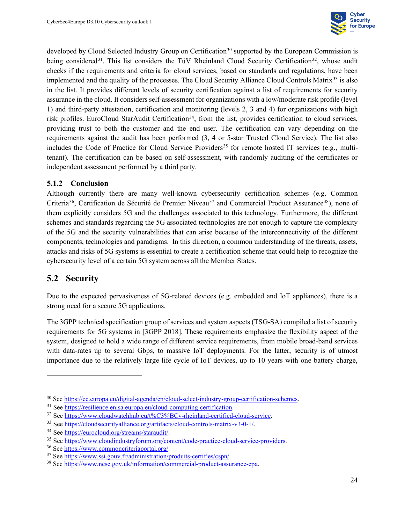

developed b[y](https://ec.europa.eu/digital-agenda/en/cloud-select-industry-group-certification-schemes) Cloud Selected Industry Group on Certification<sup>[30](#page-35-2)</sup> supported by the European Commission is being considered<sup>[31](#page-35-3)</sup>. This list considers the TüV Rheinland Cloud Security Certification<sup>[32](#page-35-4)</sup>, whose audit checks if the requirements and criteria for cloud services, based on standards and regulations, have been implemented and the quality of the processes. The Cloud Security Alliance Cloud Controls Matrix<sup>[33](#page-35-5)</sup> is also in the list. It provides different levels of security certification against a list of requirements for security assurance in the cloud. It considers self-assessment for organizations with a low/moderate risk profile (level 1) and third-party attestation, certification and monitoring (levels 2, 3 and 4) for organizations with high risk profiles. EuroCloud StarAudit Certification<sup>34</sup>, from the list, provides certification to cloud services, providing trust to both the customer and the end user. The certification can vary depending on the requirements against the audit has been performed (3, 4 or 5-star Trusted Cloud Service). The list also includes the Code of Practice for Cloud Service Providers<sup>[35](#page-35-7)</sup> for remote hosted IT services (e.g., multitenant). The certification can be based on self-assessment, with randomly auditing of the certificates or independent assessment performed by a third party.

#### <span id="page-35-0"></span>**5.1.2 Conclusion**

Although currently there are many well-known cybersecurity certification schemes (e.g. Common Criteria<sup>[36](#page-35-8)</sup>, Certification de Sécurité de Premier Niveau<sup>[37](#page-35-9)</sup> and Commercial Product Assurance<sup>[38](#page-35-10)</sup>), none of them explicitly considers 5G and the challenges associated to this technology. Furthermore, the different schemes and standards regarding the 5G associated technologies are not enough to capture the complexity of the 5G and the security vulnerabilities that can arise because of the interconnectivity of the different components, technologies and paradigms. In this direction, a common understanding of the threats, assets, attacks and risks of 5G systems is essential to create a certification scheme that could help to recognize the cybersecurity level of a certain 5G system across all the Member States.

#### <span id="page-35-1"></span>**5.2 Security**

Due to the expected pervasiveness of 5G-related devices (e.g. embedded and IoT appliances), there is a strong need for a secure 5G applications.

The 3GPP technical specification group of services and system aspects (TSG-SA) compiled a list of security requirements for 5G systems in [3GPP 2018]. These requirements emphasize the flexibility aspect of the system, designed to hold a wide range of different service requirements, from mobile broad-band services with data-rates up to several Gbps, to massive IoT deployments. For the latter, security is of utmost importance due to the relatively large life cycle of IoT devices, up to 10 years with one battery charge,

<span id="page-35-2"></span><sup>30</sup> See [https://ec.europa.eu/digital-agenda/en/cloud-select-industry-group-certification-schemes.](https://ec.europa.eu/digital-agenda/en/cloud-select-industry-group-certification-schemes)

<span id="page-35-3"></span><sup>&</sup>lt;sup>31</sup> Se[e https://resilience.enisa.europa.eu/cloud-computing-certification.](https://resilience.enisa.europa.eu/cloud-computing-certification)

<span id="page-35-4"></span><sup>32</sup> Se[e https://www.cloudwatchhub.eu/t%C3%BCv-rheinland-certified-cloud-service.](https://www.cloudwatchhub.eu/t%C3%BCv-rheinland-certified-cloud-service)

<span id="page-35-5"></span><sup>33</sup> Se[e https://cloudsecurityalliance.org/artifacts/cloud-controls-matrix-v3-0-1/.](https://cloudsecurityalliance.org/artifacts/cloud-controls-matrix-v3-0-1/)

<span id="page-35-6"></span><sup>34</sup> Se[e https://eurocloud.org/streams/staraudit/.](https://eurocloud.org/streams/staraudit/)

<span id="page-35-7"></span><sup>35</sup> Se[e https://www.cloudindustryforum.org/content/code-practice-cloud-service-providers.](https://www.cloudindustryforum.org/content/code-practice-cloud-service-providers)

<span id="page-35-8"></span><sup>36</sup> See [https://www.commoncriteriaportal.org/.](https://www.commoncriteriaportal.org/)

<span id="page-35-9"></span><sup>37</sup> See [https://www.ssi.gouv.fr/administration/produits-certifies/cspn/.](https://www.ssi.gouv.fr/administration/produits-certifies/cspn/)

<span id="page-35-10"></span><sup>38</sup> See [https://www.ncsc.gov.uk/information/commercial-product-assurance-cpa.](https://www.ncsc.gov.uk/information/commercial-product-assurance-cpa)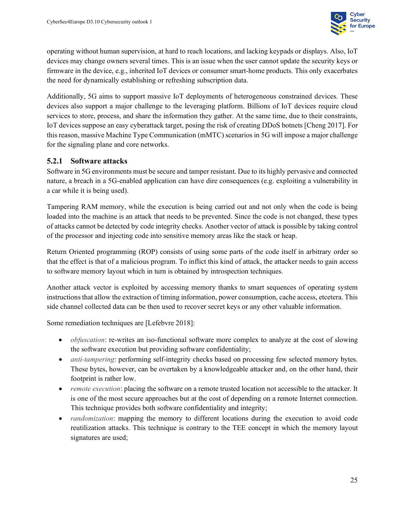

operating without human supervision, at hard to reach locations, and lacking keypads or displays. Also, IoT devices may change owners several times. This is an issue when the user cannot update the security keys or firmware in the device, e.g., inherited IoT devices or consumer smart-home products. This only exacerbates the need for dynamically establishing or refreshing subscription data.

Additionally, 5G aims to support massive IoT deployments of heterogeneous constrained devices. These devices also support a major challenge to the leveraging platform. Billions of IoT devices require cloud services to store, process, and share the information they gather. At the same time, due to their constraints, IoT devices suppose an easy cyberattack target, posing the risk of creating DDoS botnets [Cheng 2017]. For this reason, massive Machine Type Communication (mMTC) scenarios in 5G will impose a major challenge for the signaling plane and core networks.

#### <span id="page-36-0"></span>**5.2.1 Software attacks**

Software in 5G environments must be secure and tamper resistant. Due to its highly pervasive and connected nature, a breach in a 5G-enabled application can have dire consequences (e.g. exploiting a vulnerability in a car while it is being used).

Tampering RAM memory, while the execution is being carried out and not only when the code is being loaded into the machine is an attack that needs to be prevented. Since the code is not changed, these types of attacks cannot be detected by code integrity checks. Another vector of attack is possible by taking control of the processor and injecting code into sensitive memory areas like the stack or heap.

Return Oriented programming (ROP) consists of using some parts of the code itself in arbitrary order so that the effect is that of a malicious program. To inflict this kind of attack, the attacker needs to gain access to software memory layout which in turn is obtained by introspection techniques.

Another attack vector is exploited by accessing memory thanks to smart sequences of operating system instructions that allow the extraction of timing information, power consumption, cache access, etcetera. This side channel collected data can be then used to recover secret keys or any other valuable information.

Some remediation techniques are [Lefebvre 2018]:

- *obfuscation*: re-writes an iso-functional software more complex to analyze at the cost of slowing the software execution but providing software confidentiality;
- *anti-tampering*: performing self-integrity checks based on processing few selected memory bytes. These bytes, however, can be overtaken by a knowledgeable attacker and, on the other hand, their footprint is rather low.
- *remote execution*: placing the software on a remote trusted location not accessible to the attacker. It is one of the most secure approaches but at the cost of depending on a remote Internet connection. This technique provides both software confidentiality and integrity;
- *randomization*: mapping the memory to different locations during the execution to avoid code reutilization attacks. This technique is contrary to the TEE concept in which the memory layout signatures are used;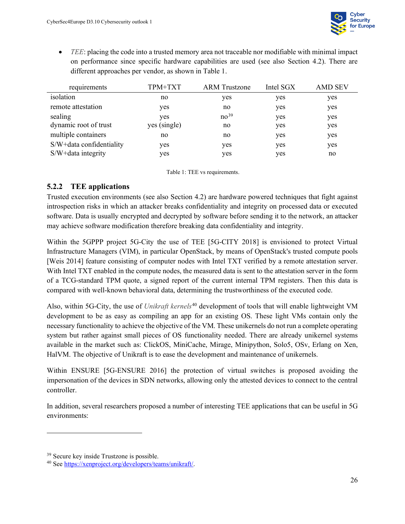

• *TEE*: placing the code into a trusted memory area not traceable nor modifiable with minimal impact on performance since specific hardware capabilities are used (see also Section 4.2). There are different approaches per vendor, as shown in [Table 1.](#page-37-1)

| requirements             | TPM+TXT      | <b>ARM</b> Trustzone | Intel SGX | <b>AMD SEV</b> |
|--------------------------|--------------|----------------------|-----------|----------------|
| isolation                | no           | yes                  | yes       | yes            |
| remote attestation       | yes          | no                   | yes       | yes            |
| sealing                  | yes          | no <sup>39</sup>     | yes       | yes            |
| dynamic root of trust    | yes (single) | no                   | yes       | yes            |
| multiple containers      | no           | no                   | yes       | yes            |
| S/W+data confidentiality | yes          | yes                  | yes       | yes            |
| S/W+data integrity       | yes          | yes                  | yes       | no             |

<span id="page-37-1"></span>Table 1: TEE vs requirements.

#### <span id="page-37-0"></span>**5.2.2 TEE applications**

Trusted execution environments (see also Section 4.2) are hardware powered techniques that fight against introspection risks in which an attacker breaks confidentiality and integrity on processed data or executed software. Data is usually encrypted and decrypted by software before sending it to the network, an attacker may achieve software modification therefore breaking data confidentiality and integrity.

Within the 5GPPP project 5G-City the use of TEE [5G-CITY 2018] is envisioned to protect Virtual Infrastructure Managers (VIM), in particular OpenStack, by means of OpenStack's trusted compute pools [Weis 2014] feature consisting of computer nodes with Intel TXT verified by a remote attestation server. With Intel TXT enabled in the compute nodes, the measured data is sent to the attestation server in the form of a TCG-standard TPM quote, a signed report of the current internal TPM registers. Then this data is compared with well-known behavioral data, determining the trustworthiness of the executed code.

Also, within 5G-City, the use of *Unikraft kernels*[40](#page-37-3) development of tools that will enable lightweight VM development to be as easy as compiling an app for an existing OS. These light VMs contain only the necessary functionality to achieve the objective of the VM. These unikernels do not run a complete operating system but rather against small pieces of OS functionality needed. There are already unikernel systems available in the market such as: ClickOS, MiniCache, Mirage, Minipython, Solo5, OSv, Erlang on Xen, HalVM. The objective of Unikraft is to ease the development and maintenance of unikernels.

Within ENSURE [5G-ENSURE 2016] the protection of virtual switches is proposed avoiding the impersonation of the devices in SDN networks, allowing only the attested devices to connect to the central controller.

In addition, several researchers proposed a number of interesting TEE applications that can be useful in 5G environments:

<span id="page-37-2"></span><sup>39</sup> Secure key inside Trustzone is possible.

<span id="page-37-3"></span><sup>40</sup> See [https://xenproject.org/developers/teams/unikraft/.](https://xenproject.org/developers/teams/unikraft/)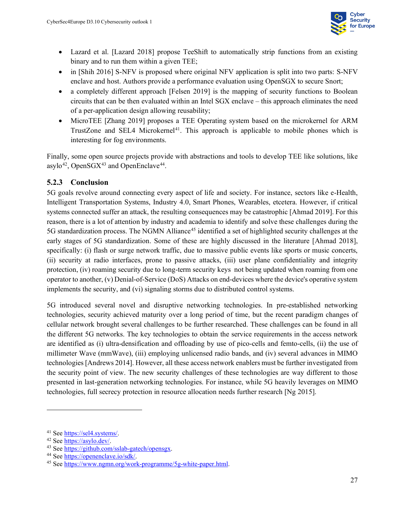

- Lazard et al. [Lazard 2018] propose TeeShift to automatically strip functions from an existing binary and to run them within a given TEE;
- in [Shih 2016] S-NFV is proposed where original NFV application is split into two parts: S-NFV enclave and host. Authors provide a performance evaluation using OpenSGX to secure Snort;
- a completely different approach [Felsen 2019] is the mapping of security functions to Boolean circuits that can be then evaluated within an Intel SGX enclave – this approach eliminates the need of a per-application design allowing reusability;
- MicroTEE [Zhang 2019] proposes a TEE Operating system based on the microkernel for ARM TrustZone and SEL4 Microkernel<sup>[41](#page-38-1)</sup>. This approach is applicable to mobile phones which is interesting for fog environments.

Finally, some open source projects provide with abstractions and tools to develop TEE like solutions, like asylo<sup>42</sup>, OpenSGX<sup>[43](#page-38-3)</sup> and OpenEnclave<sup>[44](#page-38-4)</sup>.

#### <span id="page-38-0"></span>**5.2.3 Conclusion**

5G goals revolve around connecting every aspect of life and society. For instance, sectors like e-Health, Intelligent Transportation Systems, Industry 4.0, Smart Phones, Wearables, etcetera. However, if critical systems connected suffer an attack, the resulting consequences may be catastrophic [Ahmad 2019]. For this reason, there is a lot of attention by industry and academia to identify and solve these challenges during the 5G standardization process. The NGMN Alliance<sup>[45](#page-38-5)</sup> identified a set of highlighted security challenges at the early stages of 5G standardization. Some of these are highly discussed in the literature [Ahmad 2018], specifically: (i) flash or surge network traffic, due to massive public events like sports or music concerts, (ii) security at radio interfaces, prone to passive attacks, (iii) user plane confidentiality and integrity protection, (iv) roaming security due to long-term security keys not being updated when roaming from one operator to another, (v) Denial-of-Service (DoS) Attacks on end-devices where the device's operative system implements the security, and (vi) signaling storms due to distributed control systems.

5G introduced several novel and disruptive networking technologies. In pre-established networking technologies, security achieved maturity over a long period of time, but the recent paradigm changes of cellular network brought several challenges to be further researched. These challenges can be found in all the different 5G networks. The key technologies to obtain the service requirements in the access network are identified as (i) ultra-densification and offloading by use of pico-cells and femto-cells, (ii) the use of millimeter Wave (mmWave), (iii) employing unlicensed radio bands, and (iv) several advances in MIMO technologies [Andrews 2014]. However, all these access network enablers must be further investigated from the security point of view. The new security challenges of these technologies are way different to those presented in last-generation networking technologies. For instance, while 5G heavily leverages on MIMO technologies, full secrecy protection in resource allocation needs further research [Ng 2015].

<span id="page-38-1"></span><sup>41</sup> See [https://sel4.systems/.](https://sel4.systems/)

<span id="page-38-2"></span><sup>42</sup> See [https://asylo.dev/.](https://asylo.dev/)

<span id="page-38-3"></span><sup>43</sup> See [https://github.com/sslab-gatech/opensgx.](https://github.com/sslab-gatech/opensgx)

<span id="page-38-4"></span><sup>44</sup> See [https://openenclave.io/sdk/.](https://openenclave.io/sdk/)

<span id="page-38-5"></span><sup>45</sup> See [https://www.ngmn.org/work-programme/5g-white-paper.html.](https://www.ngmn.org/work-programme/5g-white-paper.html)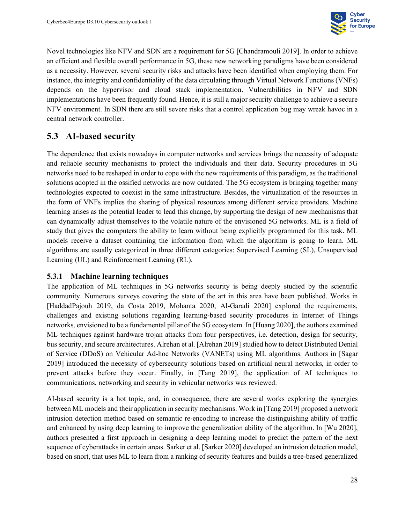

Novel technologies like NFV and SDN are a requirement for 5G [Chandramouli 2019]. In order to achieve an efficient and flexible overall performance in 5G, these new networking paradigms have been considered as a necessity. However, several security risks and attacks have been identified when employing them. For instance, the integrity and confidentiality of the data circulating through Virtual Network Functions (VNFs) depends on the hypervisor and cloud stack implementation. Vulnerabilities in NFV and SDN implementations have been frequently found. Hence, it is still a major security challenge to achieve a secure NFV environment. In SDN there are still severe risks that a control application bug may wreak havoc in a central network controller.

#### <span id="page-39-0"></span>**5.3 AI-based security**

The dependence that exists nowadays in computer networks and services brings the necessity of adequate and reliable security mechanisms to protect the individuals and their data. Security procedures in 5G networks need to be reshaped in order to cope with the new requirements of this paradigm, as the traditional solutions adopted in the ossified networks are now outdated. The 5G ecosystem is bringing together many technologies expected to coexist in the same infrastructure. Besides, the virtualization of the resources in the form of VNFs implies the sharing of physical resources among different service providers. Machine learning arises as the potential leader to lead this change, by supporting the design of new mechanisms that can dynamically adjust themselves to the volatile nature of the envisioned 5G networks. ML is a field of study that gives the computers the ability to learn without being explicitly programmed for this task. ML models receive a dataset containing the information from which the algorithm is going to learn. ML algorithms are usually categorized in three different categories: Supervised Learning (SL), Unsupervised Learning (UL) and Reinforcement Learning (RL).

#### <span id="page-39-1"></span>**5.3.1 Machine learning techniques**

The application of ML techniques in 5G networks security is being deeply studied by the scientific community. Numerous surveys covering the state of the art in this area have been published. Works in [HaddadPajouh 2019, da Costa 2019, Mohanta 2020, Al-Garadi 2020] explored the requirements, challenges and existing solutions regarding learning-based security procedures in Internet of Things networks, envisioned to be a fundamental pillar of the 5G ecosystem. In [Huang 2020], the authors examined ML techniques against hardware trojan attacks from four perspectives, i.e. detection, design for security, bus security, and secure architectures. Alrehan et al. [Alrehan 2019] studied how to detect Distributed Denial of Service (DDoS) on Vehicular Ad-hoc Networks (VANETs) using ML algorithms. Authors in [Sagar 2019] introduced the necessity of cybersecurity solutions based on artificial neural networks, in order to prevent attacks before they occur. Finally, in [Tang 2019], the application of AI techniques to communications, networking and security in vehicular networks was reviewed.

AI-based security is a hot topic, and, in consequence, there are several works exploring the synergies between ML models and their application in security mechanisms. Work in [Tang 2019] proposed a network intrusion detection method based on semantic re-encoding to increase the distinguishing ability of traffic and enhanced by using deep learning to improve the generalization ability of the algorithm. In [Wu 2020], authors presented a first approach in designing a deep learning model to predict the pattern of the next sequence of cyberattacks in certain areas. Sarker et al. [Sarker 2020] developed an intrusion detection model, based on snort, that uses ML to learn from a ranking of security features and builds a tree-based generalized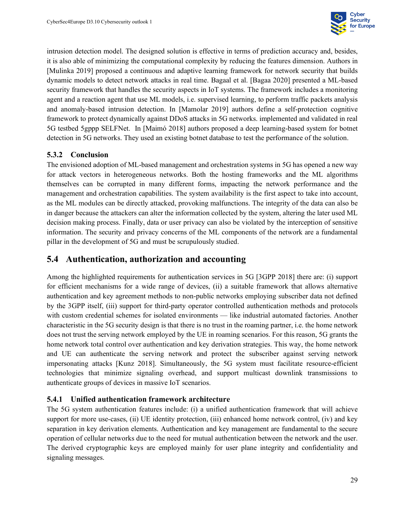

intrusion detection model. The designed solution is effective in terms of prediction accuracy and, besides, it is also able of minimizing the computational complexity by reducing the features dimension. Authors in [Mulinka 2019] proposed a continuous and adaptive learning framework for network security that builds dynamic models to detect network attacks in real time. Bagaal et al. [Bagaa 2020] presented a ML-based security framework that handles the security aspects in IoT systems. The framework includes a monitoring agent and a reaction agent that use ML models, i.e. supervised learning, to perform traffic packets analysis and anomaly-based intrusion detection. In [Mamolar 2019] authors define a self-protection cognitive framework to protect dynamically against DDoS attacks in 5G networks. implemented and validated in real 5G testbed 5gppp SELFNet. In [Maimó 2018] authors proposed a deep learning-based system for botnet detection in 5G networks. They used an existing botnet database to test the performance of the solution.

#### <span id="page-40-0"></span>**5.3.2 Conclusion**

The envisioned adoption of ML-based management and orchestration systems in 5G has opened a new way for attack vectors in heterogeneous networks. Both the hosting frameworks and the ML algorithms themselves can be corrupted in many different forms, impacting the network performance and the management and orchestration capabilities. The system availability is the first aspect to take into account, as the ML modules can be directly attacked, provoking malfunctions. The integrity of the data can also be in danger because the attackers can alter the information collected by the system, altering the later used ML decision making process. Finally, data or user privacy can also be violated by the interception of sensitive information. The security and privacy concerns of the ML components of the network are a fundamental pillar in the development of 5G and must be scrupulously studied.

#### <span id="page-40-1"></span>**5.4 Authentication, authorization and accounting**

Among the highlighted requirements for authentication services in 5G [3GPP 2018] there are: (i) support for efficient mechanisms for a wide range of devices, (ii) a suitable framework that allows alternative authentication and key agreement methods to non-public networks employing subscriber data not defined by the 3GPP itself, (iii) support for third-party operator controlled authentication methods and protocols with custom credential schemes for isolated environments — like industrial automated factories. Another characteristic in the 5G security design is that there is no trust in the roaming partner, i.e. the home network does not trust the serving network employed by the UE in roaming scenarios. For this reason, 5G grants the home network total control over authentication and key derivation strategies. This way, the home network and UE can authenticate the serving network and protect the subscriber against serving network impersonating attacks [Kunz 2018]. Simultaneously, the 5G system must facilitate resource-efficient technologies that minimize signaling overhead, and support multicast downlink transmissions to authenticate groups of devices in massive IoT scenarios.

#### <span id="page-40-2"></span>**5.4.1 Unified authentication framework architecture**

The 5G system authentication features include: (i) a unified authentication framework that will achieve support for more use-cases, (ii) UE identity protection, (iii) enhanced home network control, (iv) and key separation in key derivation elements. Authentication and key management are fundamental to the secure operation of cellular networks due to the need for mutual authentication between the network and the user. The derived cryptographic keys are employed mainly for user plane integrity and confidentiality and signaling messages.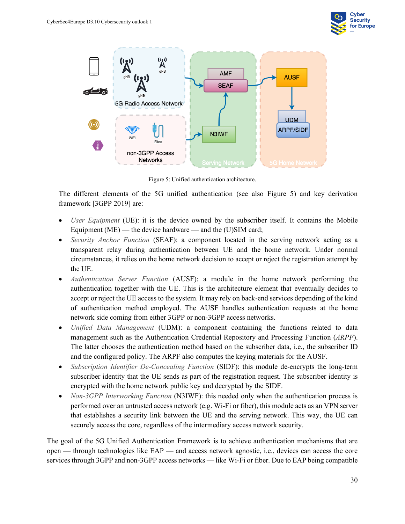



Figure 5: Unified authentication architecture.

<span id="page-41-0"></span>The different elements of the 5G unified authentication (see also [Figure 5\)](#page-41-0) and key derivation framework [3GPP 2019] are:

- *User Equipment* (UE): it is the device owned by the subscriber itself. It contains the Mobile Equipment ( $ME$ ) — the device hardware — and the (U)SIM card;
- *Security Anchor Function* (SEAF): a component located in the serving network acting as a transparent relay during authentication between UE and the home network. Under normal circumstances, it relies on the home network decision to accept or reject the registration attempt by the UE.
- *Authentication Server Function* (AUSF): a module in the home network performing the authentication together with the UE. This is the architecture element that eventually decides to accept or reject the UE access to the system. It may rely on back-end services depending of the kind of authentication method employed. The AUSF handles authentication requests at the home network side coming from either 3GPP or non-3GPP access networks.
- *Unified Data Management* (UDM): a component containing the functions related to data management such as the Authentication Credential Repository and Processing Function (*ARPF*). The latter chooses the authentication method based on the subscriber data, i.e., the subscriber ID and the configured policy. The ARPF also computes the keying materials for the AUSF.
- *Subscription Identifier De-Concealing Function* (SIDF): this module de-encrypts the long-term subscriber identity that the UE sends as part of the registration request. The subscriber identity is encrypted with the home network public key and decrypted by the SIDF.
- *Non-3GPP Interworking Function* (N3IWF): this needed only when the authentication process is performed over an untrusted access network (e.g. Wi-Fi or fiber), this module acts as an VPN server that establishes a security link between the UE and the serving network. This way, the UE can securely access the core, regardless of the intermediary access network security.

The goal of the 5G Unified Authentication Framework is to achieve authentication mechanisms that are open — through technologies like EAP — and access network agnostic, i.e., devices can access the core services through 3GPP and non-3GPP access networks — like Wi-Fi or fiber. Due to EAP being compatible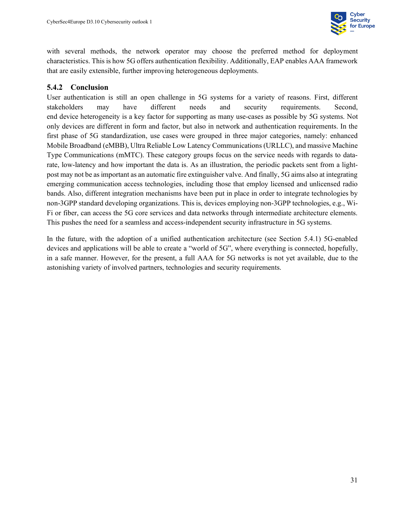

with several methods, the network operator may choose the preferred method for deployment characteristics. This is how 5G offers authentication flexibility. Additionally, EAP enables AAA framework that are easily extensible, further improving heterogeneous deployments.

#### <span id="page-42-0"></span>**5.4.2 Conclusion**

User authentication is still an open challenge in 5G systems for a variety of reasons. First, different stakeholders may have different needs and security requirements. Second, end device heterogeneity is a key factor for supporting as many use-cases as possible by 5G systems. Not only devices are different in form and factor, but also in network and authentication requirements. In the first phase of 5G standardization, use cases were grouped in three major categories, namely: enhanced Mobile Broadband (eMBB), Ultra Reliable Low Latency Communications (URLLC), and massive Machine Type Communications (mMTC). These category groups focus on the service needs with regards to datarate, low-latency and how important the data is. As an illustration, the periodic packets sent from a lightpost may not be as important as an automatic fire extinguisher valve. And finally, 5G aims also at integrating emerging communication access technologies, including those that employ licensed and unlicensed radio bands. Also, different integration mechanisms have been put in place in order to integrate technologies by non-3GPP standard developing organizations. This is, devices employing non-3GPP technologies, e.g., Wi-Fi or fiber, can access the 5G core services and data networks through intermediate architecture elements. This pushes the need for a seamless and access-independent security infrastructure in 5G systems.

In the future, with the adoption of a unified authentication architecture (see Section 5.4.1) 5G-enabled devices and applications will be able to create a "world of 5G", where everything is connected, hopefully, in a safe manner. However, for the present, a full AAA for 5G networks is not yet available, due to the astonishing variety of involved partners, technologies and security requirements.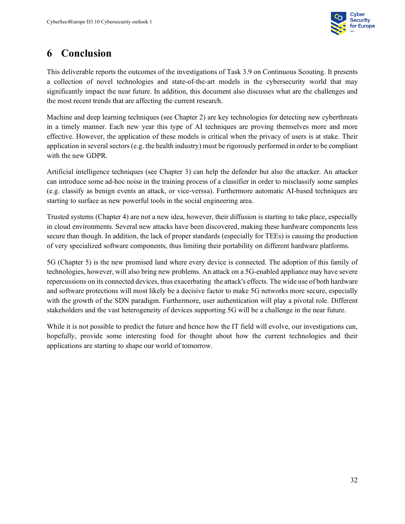

# <span id="page-43-0"></span>**6 Conclusion**

This deliverable reports the outcomes of the investigations of Task 3.9 on Continuous Scouting. It presents a collection of novel technologies and state-of-the-art models in the cybersecurity world that may significantly impact the near future. In addition, this document also discusses what are the challenges and the most recent trends that are affecting the current research.

Machine and deep learning techniques (see Chapter 2) are key technologies for detecting new cyberthreats in a timely manner. Each new year this type of AI techniques are proving themselves more and more effective. However, the application of these models is critical when the privacy of users is at stake. Their application in several sectors (e.g. the health industry) must be rigorously performed in order to be compliant with the new GDPR.

Artificial intelligence techniques (see Chapter 3) can help the defender but also the attacker. An attacker can introduce some ad-hoc noise in the training process of a classifier in order to misclassify some samples (e.g. classify as benign events an attack, or vice-verssa). Furthermore automatic AI-based techniques are starting to surface as new powerful tools in the social engineering area.

Trusted systems (Chapter 4) are not a new idea, however, their diffusion is starting to take place, especially in cloud environments. Several new attacks have been discovered, making these hardware components less secure than though. In addition, the lack of proper standards (especially for TEEs) is causing the production of very specialized software components, thus limiting their portability on different hardware platforms.

5G (Chapter 5) is the new promised land where every device is connected. The adoption of this family of technologies, however, will also bring new problems. An attack on a 5G-enabled appliance may have severe repercussions on its connected devices, thus exacerbating the attack's effects. The wide use of both hardware and software protections will most likely be a decisive factor to make 5G networks more secure, especially with the growth of the SDN paradigm. Furthermore, user authentication will play a pivotal role. Different stakeholders and the vast heterogeneity of devices supporting 5G will be a challenge in the near future.

While it is not possible to predict the future and hence how the IT field will evolve, our investigations can, hopefully, provide some interesting food for thought about how the current technologies and their applications are starting to shape our world of tomorrow.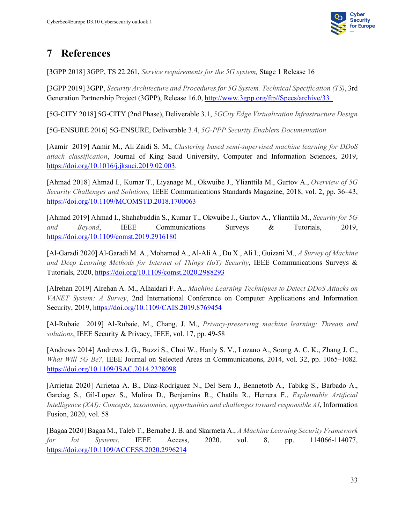

# <span id="page-44-0"></span>**7 References**

[3GPP 2018] 3GPP, TS 22.261, *Service requirements for the 5G system,* Stage 1 Release 16

[3GPP 2019] 3GPP, *Security Architecture and Procedures for 5G System. Technical Specification (TS)*, 3rd Generation Partnership Project (3GPP), Release 16.0, http://www.3gpp.org/ftp//Specs/archive/33

[5G-CITY 2018] 5G-CITY (2nd Phase), Deliverable 3.1, *5GCity Edge Virtualization Infrastructure Design*

[5G-ENSURE 2016] 5G-ENSURE, Deliverable 3.4, *5G-PPP Security Enablers Documentation*

[Aamir 2019] Aamir M., Ali Zaidi S. M., *Clustering based semi-supervised machine learning for DDoS attack classification*, Journal of King Saud University, Computer and Information Sciences, 2019, [https://doi.org/10.1016/j.jksuci.2019.02.003.](https://doi.org/10.1016/j.jksuci.2019.02.003)

[Ahmad 2018] Ahmad I., Kumar T., Liyanage M., Okwuibe J., Ylianttila M., Gurtov A., *Overview of 5G Security Challenges and Solutions,* IEEE Communications Standards Magazine, 2018, vol. 2, pp. 36–43, <https://doi.org/10.1109/MCOMSTD.2018.1700063>

[Ahmad 2019] Ahmad I., Shahabuddin S., Kumar T., Okwuibe J., Gurtov A., Ylianttila M., *Security for 5G and Beyond*, IEEE Communications Surveys & Tutorials, 2019, <https://doi.org/10.1109/comst.2019.2916180>

[Al-Garadi 2020] Al-Garadi M. A., Mohamed A., Al-Ali A., Du X., Ali I., Guizani M., *A Survey of Machine and Deep Learning Methods for Internet of Things (IoT) Security*, IEEE Communications Surveys & Tutorials, 2020,<https://doi.org/10.1109/comst.2020.2988293>

[Alrehan 2019] Alrehan A. M., Alhaidari F. A., *Machine Learning Techniques to Detect DDoS Attacks on VANET System: A Survey*, 2nd International Conference on Computer Applications and Information Security, 2019,<https://doi.org/10.1109/CAIS.2019.8769454>

[Al-Rubaie 2019] Al-Rubaie, M., Chang, J. M., *Privacy-preserving machine learning: Threats and solutions*, IEEE Security & Privacy, IEEE, vol. 17, pp. 49-58

[Andrews 2014] Andrews J. G., Buzzi S., Choi W., Hanly S. V., Lozano A., Soong A. C. K., Zhang J. C., *What Will 5G Be?,* IEEE Journal on Selected Areas in Communications, 2014, vol. 32, pp. 1065–1082. <https://doi.org/10.1109/JSAC.2014.2328098>

[Arrietaa 2020] Arrietaa A. B., Díaz-Rodríguez N., Del Sera J., Bennetotb A., Tabikg S., Barbado A., Garciag S., Gil-Lopez S., Molina D., Benjamins R., Chatila R., Herrera F., *Explainable Artificial Intelligence (XAI): Concepts, taxonomies, opportunities and challenges toward responsible AI*, Information Fusion, 2020, vol. 58

[Bagaa 2020] Bagaa M., Taleb T., Bernabe J. B. and Skarmeta A., *A Machine Learning Security Framework for Iot Systems*, IEEE Access, 2020, vol. 8, pp. 114066-114077, <https://doi.org/10.1109/ACCESS.2020.2996214>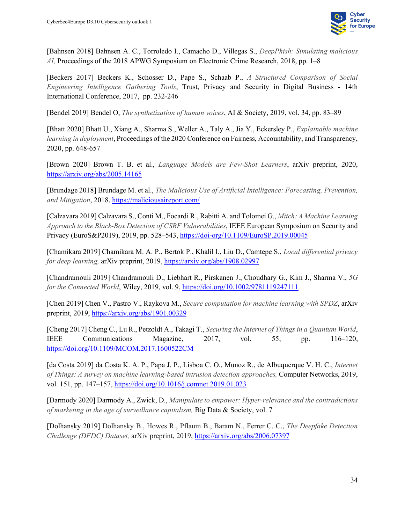

[Bahnsen 2018] Bahnsen A. C., Torroledo I., Camacho D., Villegas S., *DeepPhish: Simulating malicious AI,* Proceedings of the 2018 APWG Symposium on Electronic Crime Research, 2018, pp. 1–8

[Beckers 2017] Beckers K., Schosser D., Pape S., Schaab P., *A Structured Comparison of Social Engineering Intelligence Gathering Tools*, Trust, Privacy and Security in Digital Business - 14th International Conference, 2017, pp. 232-246

[Bendel 2019] Bendel O, *The synthetization of human voices*, AI & Society, 2019, vol. 34, pp. 83–89

[Bhatt 2020] Bhatt U., Xiang A., Sharma S., Weller A., Taly A., Jia Y., Eckersley P., *Explainable machine learning in deployment*, Proceedings of the 2020 Conference on Fairness, Accountability, and Transparency, 2020, pp. 648-657

[Brown 2020] Brown T. B. et al., *Language Models are Few-Shot Learners*, arXiv preprint, 2020, <https://arxiv.org/abs/2005.14165>

[Brundage 2018] Brundage M. et al., *The Malicious Use of Artificial Intelligence: Forecasting, Prevention, and Mitigation*, 2018,<https://maliciousaireport.com/>

[Calzavara 2019] Calzavara S., Conti M., Focardi R., Rabitti A. and Tolomei G., *Mitch: A Machine Learning Approach to the Black-Box Detection of CSRF Vulnerabilities*, IEEE European Symposium on Security and Privacy (EuroS&P2019), 2019, pp. 528–543,<https://doi-org/10.1109/EuroSP.2019.00045>

[Chamikara 2019] Chamikara M. A. P., Bertok P., Khalil I., Liu D., Camtepe S., *Local differential privacy for deep learning,* arXiv preprint, 2019,<https://arxiv.org/abs/1908.02997>

[Chandramouli 2019] Chandramouli D., Liebhart R., Pirskanen J., Choudhary G., Kim J., Sharma V., *5G for the Connected World*, Wiley, 2019, vol. 9,<https://doi.org/10.1002/9781119247111>

[Chen 2019] Chen V., Pastro V., Raykova M., *Secure computation for machine learning with SPDZ*, arXiv preprint, 2019,<https://arxiv.org/abs/1901.00329>

[Cheng 2017] Cheng C., Lu R., Petzoldt A., Takagi T., *Securing the Internet of Things in a Quantum World*, IEEE Communications Magazine, 2017, vol. 55, pp. 116–120, <https://doi.org/10.1109/MCOM.2017.1600522CM>

[da Costa 2019] da Costa K. A. P., Papa J. P., Lisboa C. O., Munoz R., de Albuquerque V. H. C., *Internet of Things: A survey on machine learning-based intrusion detection approaches,* Computer Networks, 2019, vol. 151, pp. 147–157,<https://doi.org/10.1016/j.comnet.2019.01.023>

[Darmody 2020] Darmody A., Zwick, D., *Manipulate to empower: Hyper-relevance and the contradictions of marketing in the age of surveillance capitalism,* Big Data & Society, vol. 7

[Dolhansky 2019] Dolhansky B., Howes R., Pflaum B., Baram N., Ferrer C. C., *The Deepfake Detection Challenge (DFDC) Dataset,* arXiv preprint, 2019,<https://arxiv.org/abs/2006.07397>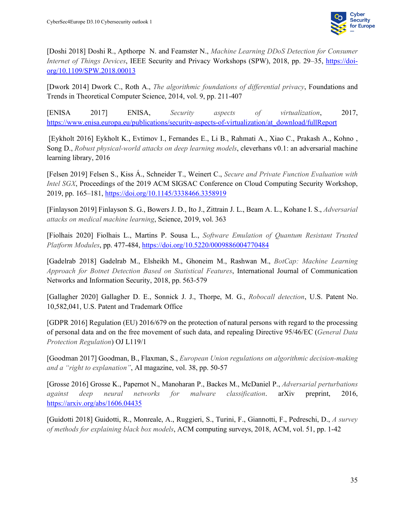

[Doshi 2018] Doshi R., Apthorpe N. and Feamster N., *Machine Learning DDoS Detection for Consumer Internet of Things Devices*, IEEE Security and Privacy Workshops (SPW), 2018, pp. 29–35, [https://doi](https://doi-org/10.1109/SPW.2018.00013)[org/10.1109/SPW.2018.00013](https://doi-org/10.1109/SPW.2018.00013)

[Dwork 2014] Dwork C., Roth A., *The algorithmic foundations of differential privacy*, Foundations and Trends in Theoretical Computer Science, 2014, vol. 9, pp. 211-407

[ENISA 2017] ENISA, *Security aspects of virtualization*, 2017, [https://www.enisa.europa.eu/publications/security-aspects-of-virtualization/at\\_download/fullReport](https://www.enisa.europa.eu/publications/security-aspects-of-virtualization/at_download/fullReport)

[Eykholt 2016] Eykholt K., Evtimov I., Fernandes E., Li B., Rahmati A., Xiao C., Prakash A., Kohno , Song D., *Robust physical-world attacks on deep learning models*, cleverhans v0.1: an adversarial machine learning library, 2016

[Felsen 2019] Felsen S., Kiss Á., Schneider T., Weinert C., *Secure and Private Function Evaluation with Intel SGX*, Proceedings of the 2019 ACM SIGSAC Conference on Cloud Computing Security Workshop, 2019, pp. 165–181,<https://doi.org/10.1145/3338466.3358919>

[Finlayson 2019] Finlayson S. G., Bowers J. D., Ito J., Zittrain J. L., Beam A. L., Kohane I. S., *Adversarial attacks on medical machine learning*, Science, 2019, vol. 363

[Fiolhais 2020] Fiolhais L., Martins P. Sousa L., *Software Emulation of Quantum Resistant Trusted Platform Modules*, pp. 477-484,<https://doi.org/10.5220/0009886004770484>

[Gadelrab 2018] Gadelrab M., Elsheikh M., Ghoneim M., Rashwan M., *BotCap: Machine Learning Approach for Botnet Detection Based on Statistical Features*, International Journal of Communication Networks and Information Security, 2018, pp. 563-579

[Gallagher 2020] Gallagher D. E., Sonnick J. J., Thorpe, M. G., *Robocall detection*, U.S. Patent No. 10,582,041, U.S. Patent and Trademark Office

[GDPR 2016] Regulation (EU) 2016/679 on the protection of natural persons with regard to the processing of personal data and on the free movement of such data, and repealing Directive 95/46/EC (*General Data Protection Regulation*) OJ L119/1

[Goodman 2017] Goodman, B., Flaxman, S., *European Union regulations on algorithmic decision-making and a "right to explanation"*, AI magazine, vol. 38, pp. 50-57

[Grosse 2016] Grosse K., Papernot N., Manoharan P., Backes M., McDaniel P., *Adversarial perturbations against deep neural networks for malware classification*. arXiv preprint, 2016, <https://arxiv.org/abs/1606.04435>

[Guidotti 2018] Guidotti, R., Monreale, A., Ruggieri, S., Turini, F., Giannotti, F., Pedreschi, D., *A survey of methods for explaining black box models*, ACM computing surveys, 2018, ACM, vol. 51, pp. 1-42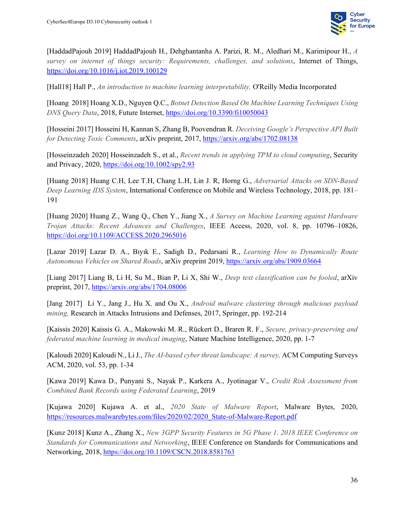

[HaddadPajouh 2019] HaddadPajouh H., Dehghantanha A. Parizi, R. M., Aledhari M., Karimipour H., *A survey on internet of things security: Requirements, challenges, and solutions*, Internet of Things, <https://doi.org/10.1016/j.iot.2019.100129>

[Hall18] Hall P., *An introduction to machine learning interpretability,* O'Reilly Media Incorporated

[Hoang 2018] Hoang X.D., Nguyen Q.C., *Botnet Detection Based On Machine Learning Techniques Using DNS Query Data*, 2018, Future Internet,<https://doi.org/10.3390/fi10050043>

[Hosseini 2017] Hosseini H, Kannan S, Zhang B, Poovendran R. *Deceiving Google's Perspective API Built for Detecting Toxic Comments*, arXiv preprint, 2017,<https://arxiv.org/abs/1702.08138>

[Hosseinzadeh 2020] Hosseinzadeh S., et al., *Recent trends in applying TPM to cloud computing*, Security and Privacy, 2020,<https://doi.org/10.1002/spy2.93>

[Huang 2018] Huang C.H, Lee T.H, Chang L.H, Lin J. R, Horng G., *Adversarial Attacks on SDN-Based Deep Learning IDS System*, International Conference on Mobile and Wireless Technology, 2018, pp. 181– 191

[Huang 2020] Huang Z., Wang Q., Chen Y., Jiang X., *A Survey on Machine Learning against Hardware Trojan Attacks: Recent Advances and Challenges*, IEEE Access, 2020, vol. 8, pp. 10796–10826, <https://doi.org/10.1109/ACCESS.2020.2965016>

[Lazar 2019] Lazar D. A., Bıyık E., Sadigh D., Pedarsani R., *Learning How to Dynamically Route Autonomous Vehicles on Shared Roads*, arXiv preprint 2019,<https://arxiv.org/abs/1909.03664>

[Liang 2017] Liang B, Li H, Su M., Bian P, Li X, Shi W., *Deep text classification can be fooled*, arXiv preprint, 2017,<https://arxiv.org/abs/1704.08006>

[Jang 2017] Li Y., Jang J., Hu X. and Ou X., *Android malware clustering through malicious payload mining,* Research in Attacks Intrusions and Defenses, 2017, Springer, pp. 192-214

[Kaissis 2020] Kaissis G. A., Makowski M. R., Rückert D., Braren R. F., *Secure, privacy-preserving and federated machine learning in medical imaging*, Nature Machine Intelligence, 2020, pp. 1-7

[Kaloudi 2020] Kaloudi N., Li J., *The AI-based cyber threat landscape: A survey,* ACM Computing Surveys ACM, 2020, vol. 53, pp. 1-34

[Kawa 2019] Kawa D., Punyani S., Nayak P., Karkera A., Jyotinagar V., *Credit Risk Assessment from Combined Bank Records using Federated Learning*, 2019

[Kujawa 2020] Kujawa A. et al., *2020 State of Malware Report*, Malware Bytes, 2020[,](https://resources.malwarebytes.com/files/2020/02/2020_State-of-Malware-Report.pdf) [https://resources.malwarebytes.com/files/2020/02/2020\\_State-of-Malware-Report.pdf](https://resources.malwarebytes.com/files/2020/02/2020_State-of-Malware-Report.pdf)

[Kunz 2018] Kunz A., Zhang X., *New 3GPP Security Features in 5G Phase 1. 2018 IEEE Conference on Standards for Communications and Networking*, IEEE Conference on Standards for Communications and Networking, 2018,<https://doi.org/10.1109/CSCN.2018.8581763>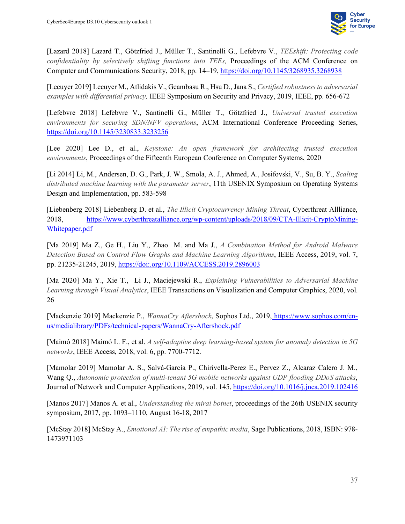

[Lazard 2018] Lazard T., Götzfried J., Müller T., Santinelli G., Lefebvre V., *TEEshift: Protecting code confidentiality by selectively shifting functions into TEEs,* Proceedings of the ACM Conference on Computer and Communications Security, 2018, pp. 14–19,<https://doi.org/10.1145/3268935.3268938>

[Lecuyer 2019] Lecuyer M., Atlidakis V., Geambasu R., Hsu D., Jana S., *Certified robustness to adversarial examples with differential privacy,* IEEE Symposium on Security and Privacy, 2019, IEEE, pp. 656-672

[Lefebvre 2018] Lefebvre V., Santinelli G., Müller T., Götzfried J., *Universal trusted execution environments for securing SDN/NFV operations*, ACM International Conference Proceeding Series, <https://doi.org/10.1145/3230833.3233256>

[Lee 2020] Lee D., et al., *Keystone: An open framework for architecting trusted execution environments*, Proceedings of the Fifteenth European Conference on Computer Systems, 2020

[Li 2014] Li, M., Andersen, D. G., Park, J. W., Smola, A. J., Ahmed, A., Josifovski, V., Su, B. Y., *Scaling distributed machine learning with the parameter server*, 11th USENIX Symposium on Operating Systems Design and Implementation, pp. 583-598

[Liebenberg 2018] Liebenberg D. et al., *The Illicit Cryptocurrency Mining Threat*, Cyberthreat Allliance, 2018, [https://www.cyberthreatalliance.org/wp-content/uploads/2018/09/CTA-Illicit-CryptoMining-](https://www.cyberthreatalliance.org/wp-content/uploads/2018/09/CTA-Illicit-CryptoMining-Whitepaper.pdf)[Whitepaper.pdf](https://www.cyberthreatalliance.org/wp-content/uploads/2018/09/CTA-Illicit-CryptoMining-Whitepaper.pdf)

[Ma 2019] Ma Z., Ge H., Liu Y., Zhao M. and Ma J., *A Combination Method for Android Malware Detection Based on Control Flow Graphs and Machine Learning Algorithms*, IEEE Access, 2019, vol. 7, pp. 21235-21245, 2019,<https://doi:.org/10.1109/ACCESS.2019.2896003>

[Ma 2020] Ma Y., Xie T., Li J., Maciejewski R., *Explaining Vulnerabilities to Adversarial Machine Learning through Visual Analytics*, IEEE Transactions on Visualization and Computer Graphics, 2020, vol. 26

[Mackenzie 2019] Mackenzie P., *WannaCry Aftershock*, Sophos Ltd., 2019, [https://www.sophos.com/en](https://www.sophos.com/en-us/medialibrary/PDFs/technical-papers/WannaCry-Aftershock.pdf)[us/medialibrary/PDFs/technical-papers/WannaCry-Aftershock.pdf](https://www.sophos.com/en-us/medialibrary/PDFs/technical-papers/WannaCry-Aftershock.pdf)

[Maimó 2018] Maimó L. F., et al. *A self-adaptive deep learning-based system for anomaly detection in 5G networks*, IEEE Access, 2018, vol. 6, pp. 7700-7712.

[Mamolar 2019] Mamolar A. S., Salvá-García P., Chirivella-Perez E., Pervez Z., Alcaraz Calero J. M., Wang Q., *Autonomic protection of multi-tenant 5G mobile networks against UDP flooding DDoS attacks*, Journal of Network and Computer Applications, 2019, vol. 145[, https://doi.org/10.1016/j.jnca.2019.102416](https://doi.org/10.1016/j.jnca.2019.102416)

[Manos 2017] Manos A. et al., *Understanding the mirai botnet*, proceedings of the 26th USENIX security symposium, 2017, pp. 1093–1110, August 16-18, 2017

[McStay 2018] McStay A., *Emotional AI: The rise of empathic media*, Sage Publications, 2018, ISBN: 978- 1473971103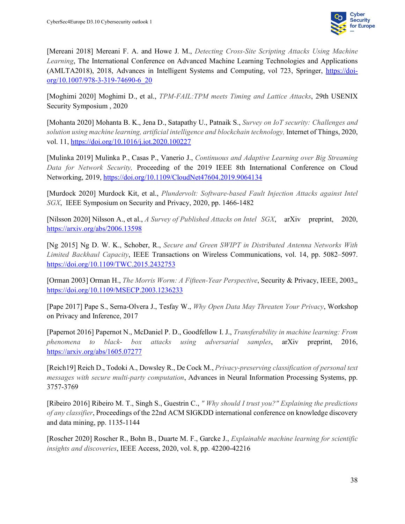

[Mereani 2018] Mereani F. A. and Howe J. M., *Detecting Cross-Site Scripting Attacks Using Machine Learning*, The International Conference on Advanced Machine Learning Technologies and Applications (AMLTA2018), 2018, Advances in Intelligent Systems and Computing, vol 723, Springer, [https://doi](https://doi-org/10.1007/978-3-319-74690-6_20)[org/10.1007/978-3-319-74690-6\\_20](https://doi-org/10.1007/978-3-319-74690-6_20)

[Moghimi 2020] Moghimi D., et al., *TPM-FAIL:TPM meets Timing and Lattice Attacks*, 29th USENIX Security Symposium , 2020

[Mohanta 2020] Mohanta B. K., Jena D., Satapathy U., Patnaik S., *Survey on IoT security: Challenges and solution using machine learning, artificial intelligence and blockchain technology,* Internet of Things, 2020, vol. 11,<https://doi.org/10.1016/j.iot.2020.100227>

[Mulinka 2019] Mulinka P., Casas P., Vanerio J., *Continuous and Adaptive Learning over Big Streaming Data for Network Security,* Proceeding of the 2019 IEEE 8th International Conference on Cloud Networking, 2019,<https://doi.org/10.1109/CloudNet47604.2019.9064134>

[Murdock 2020] Murdock Kit, et al., *Plundervolt: Software-based Fault Injection Attacks against Intel SGX*, IEEE Symposium on Security and Privacy, 2020, pp. 1466-1482

[Nilsson 2020] Nilsson A., et al., *A Survey of Published Attacks on Intel SGX*, arXiv preprint, 2020, <https://arxiv.org/abs/2006.13598>

[Ng 2015] Ng D. W. K., Schober, R., *Secure and Green SWIPT in Distributed Antenna Networks With Limited Backhaul Capacity*, IEEE Transactions on Wireless Communications, vol. 14, pp. 5082–5097. <https://doi.org/10.1109/TWC.2015.2432753>

[Orman 2003] Orman H., *The Morris Worm: A Fifteen-Year Perspective*, Security & Privacy, IEEE, 2003,, <https://doi.org/10.1109/MSECP.2003.1236233>

[Pape 2017] Pape S., Serna-Olvera J., Tesfay W., *Why Open Data May Threaten Your Privacy*, Workshop on Privacy and Inference, 2017

[Papernot 2016] Papernot N., McDaniel P. D., Goodfellow I. J., *Transferability in machine learning: From phenomena to black- box attacks using adversarial samples*, arXiv preprint, 2016, <https://arxiv.org/abs/1605.07277>

[Reich19] Reich D., Todoki A., Dowsley R., De Cock M., *Privacy-preserving classification of personal text messages with secure multi-party computation*, Advances in Neural Information Processing Systems, pp. 3757-3769

[Ribeiro 2016] Ribeiro M. T., Singh S., Guestrin C., *" Why should I trust you?" Explaining the predictions of any classifier*, Proceedings of the 22nd ACM SIGKDD international conference on knowledge discovery and data mining, pp. 1135-1144

[Roscher 2020] Roscher R., Bohn B., Duarte M. F., Garcke J., *Explainable machine learning for scientific insights and discoveries*, IEEE Access, 2020, vol. 8, pp. 42200-42216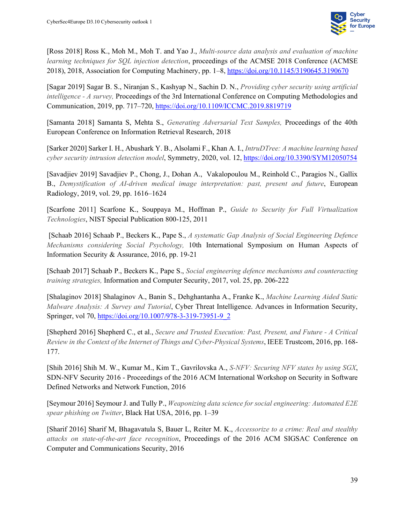

[Ross 2018] Ross K., Moh M., Moh T. and Yao J., *Multi-source data analysis and evaluation of machine learning techniques for SQL injection detection*, proceedings of the ACMSE 2018 Conference (ACMSE 2018), 2018, Association for Computing Machinery, pp. 1–8[, https://doi.org/10.1145/3190645.3190670](https://doi.org/10.1145/3190645.3190670)

[Sagar 2019] Sagar B. S., Niranjan S., Kashyap N., Sachin D. N., *Providing cyber security using artificial intelligence - A survey,* Proceedings of the 3rd International Conference on Computing Methodologies and Communication, 2019, pp. 717–720,<https://doi.org/10.1109/ICCMC.2019.8819719>

[Samanta 2018] Samanta S, Mehta S., *Generating Adversarial Text Samples,* Proceedings of the 40th European Conference on Information Retrieval Research, 2018

[Sarker 2020] Sarker I. H., Abushark Y. B., Alsolami F., Khan A. I., *IntruDTree: A machine learning based cyber security intrusion detection model*, Symmetry, 2020, vol. 12,<https://doi.org/10.3390/SYM12050754>

[Savadjiev 2019] Savadjiev P., Chong, J., Dohan A., Vakalopoulou M., Reinhold C., Paragios N., Gallix B., *Demystification of AI-driven medical image interpretation: past, present and future*, European Radiology, 2019, vol. 29, pp. 1616–1624

[Scarfone 2011] Scarfone K., Souppaya M., Hoffman P., *Guide to Security for Full Virtualization Technologies*, NIST Special Publication 800-125, 2011

[Schaab 2016] Schaab P., Beckers K., Pape S., *A systematic Gap Analysis of Social Engineering Defence Mechanisms considering Social Psychology,* 10th International Symposium on Human Aspects of Information Security & Assurance, 2016, pp. 19-21

[Schaab 2017] Schaab P., Beckers K., Pape S., *Social engineering defence mechanisms and counteracting training strategies,* Information and Computer Security, 2017, vol. 25, pp. 206-222

[Shalaginov 2018] Shalaginov A., Banin S., Dehghantanha A., Franke K., *Machine Learning Aided Static Malware Analysis: A Survey and Tutorial*, Cyber Threat Intelligence. Advances in Information Security, Springer, vol 70, [https://doi.org/10.1007/978-3-319-73951-9\\_2](https://doi.org/10.1007/978-3-319-73951-9_2)

[Shepherd 2016] Shepherd C., et al., *Secure and Trusted Execution: Past, Present, and Future - A Critical Review in the Context of the Internet of Things and Cyber-Physical Systems*, IEEE Trustcom, 2016, pp. 168- 177.

[Shih 2016] Shih M. W., Kumar M., Kim T., Gavrilovska A., *S-NFV: Securing NFV states by using SGX*, SDN-NFV Security 2016 - Proceedings of the 2016 ACM International Workshop on Security in Software Defined Networks and Network Function, 2016

[Seymour 2016] Seymour J. and Tully P., *Weaponizing data science for social engineering: Automated E2E spear phishing on Twitter*, Black Hat USA, 2016, pp. 1–39

[Sharif 2016] Sharif M, Bhagavatula S, Bauer L, Reiter M. K., *Accessorize to a crime: Real and stealthy attacks on state-of-the-art face recognition*, Proceedings of the 2016 ACM SIGSAC Conference on Computer and Communications Security, 2016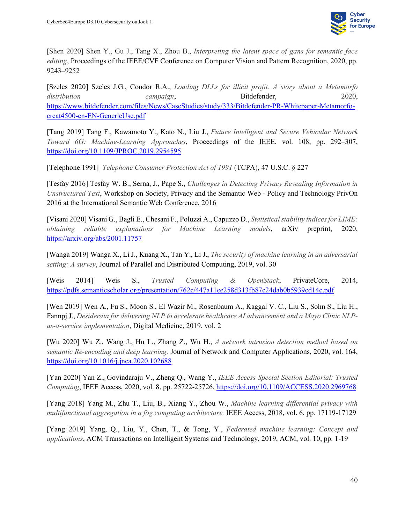

[Shen 2020] Shen Y., Gu J., Tang X., Zhou B., *Interpreting the latent space of gans for semantic face editing*, Proceedings of the IEEE/CVF Conference on Computer Vision and Pattern Recognition, 2020, pp. 9243–9252

[Szeles 2020] Szeles J.G., Condor R.A., *Loading DLLs for illicit profit. A story about a Metamorfo distribution campaign*, Bitdefender, 2020, [https://www.bitdefender.com/files/News/CaseStudies/study/333/Bitdefender-PR-Whitepaper-Metamorfo](https://www.bitdefender.com/files/News/CaseStudies/study/333/Bitdefender-PR-Whitepaper-Metamorfo-creat4500-en-EN-GenericUse.pdf)[creat4500-en-EN-GenericUse.pdf](https://www.bitdefender.com/files/News/CaseStudies/study/333/Bitdefender-PR-Whitepaper-Metamorfo-creat4500-en-EN-GenericUse.pdf)

[Tang 2019] Tang F., Kawamoto Y., Kato N., Liu J., *Future Intelligent and Secure Vehicular Network Toward 6G: Machine-Learning Approaches*, Proceedings of the IEEE, vol. 108, pp. 292–307, <https://doi.org/10.1109/JPROC.2019.2954595>

[Telephone 1991] *Telephone Consumer Protection Act of 1991* (TCPA), 47 U.S.C. § 227

[Tesfay 2016] Tesfay W. B., Serna, J., Pape S., *Challenges in Detecting Privacy Revealing Information in Unstructured Text*, Workshop on Society, Privacy and the Semantic Web - Policy and Technology PrivOn 2016 at the International Semantic Web Conference, 2016

[Visani 2020] Visani G., Bagli E., Chesani F., Poluzzi A., Capuzzo D., *Statistical stability indices for LIME: obtaining reliable explanations for Machine Learning models*, arXiv preprint, 2020, <https://arxiv.org/abs/2001.11757>

[Wanga 2019] Wanga X., Li J., Kuang X., Tan Y., Li J., *The security of machine learning in an adversarial setting: A survey*, Journal of Parallel and Distributed Computing, 2019, vol. 30

[Weis 2014] Weis S., *Trusted Computing & OpenStack*, PrivateCore, 2014, <https://pdfs.semanticscholar.org/presentation/762c/447a11ee258d313fb87c24dab0b5939cd14c.pdf>

[Wen 2019] Wen A., Fu S., Moon S., El Wazir M., Rosenbaum A., Kaggal V. C., Liu S., Sohn S., Liu H., Fannpj J., *Desiderata for delivering NLP to accelerate healthcare AI advancement and a Mayo Clinic NLPas-a-service implementation*, Digital Medicine, 2019, vol. 2

[Wu 2020] Wu Z., Wang J., Hu L., Zhang Z., Wu H., *A network intrusion detection method based on semantic Re-encoding and deep learning,* Journal of Network and Computer Applications, 2020, vol. 164, <https://doi.org/10.1016/j.jnca.2020.102688>

[Yan 2020] Yan Z., Govindaraju V., Zheng Q., Wang Y., *IEEE Access Special Section Editorial: Trusted Computing*, IEEE Access, 2020, vol. 8, pp. 25722-25726,<https://doi.org/10.1109/ACCESS.2020.2969768>

[Yang 2018] Yang M., Zhu T., Liu, B., Xiang Y., Zhou W., *Machine learning differential privacy with multifunctional aggregation in a fog computing architecture,* IEEE Access, 2018, vol. 6, pp. 17119-17129

[Yang 2019] Yang, Q., Liu, Y., Chen, T., & Tong, Y., *Federated machine learning: Concept and applications*, ACM Transactions on Intelligent Systems and Technology, 2019, ACM, vol. 10, pp. 1-19